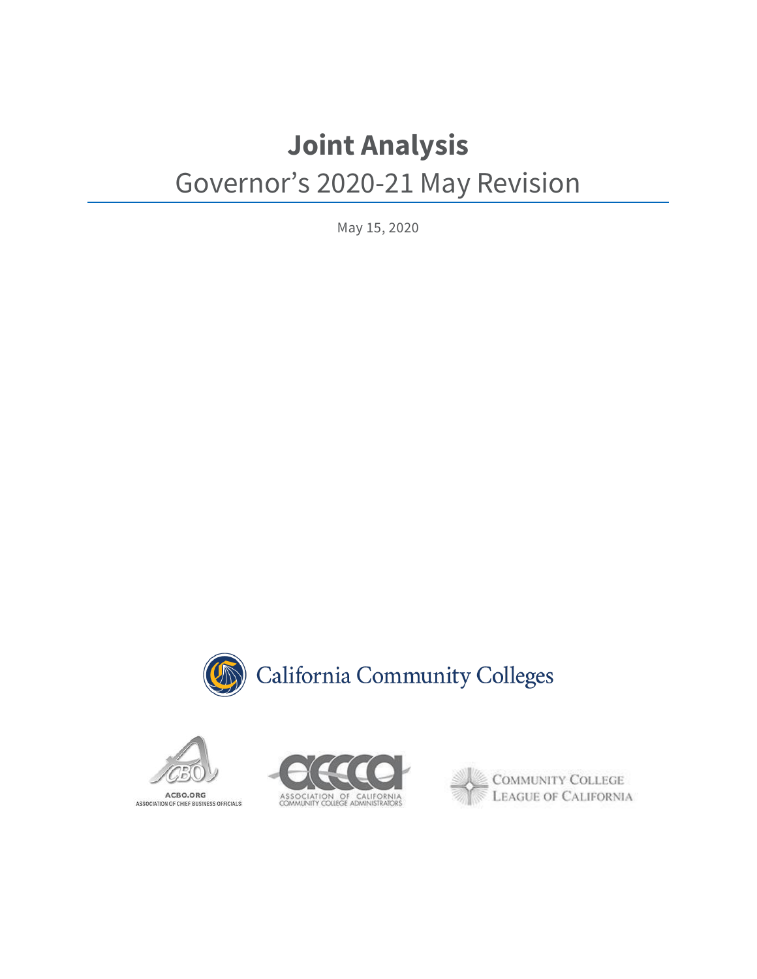# **Joint Analysis** Governor's 2020-21 May Revision

May 15, 2020





ACRO.ORG ASSOCIATION OF CHIEF BUSINESS OFFICIALS



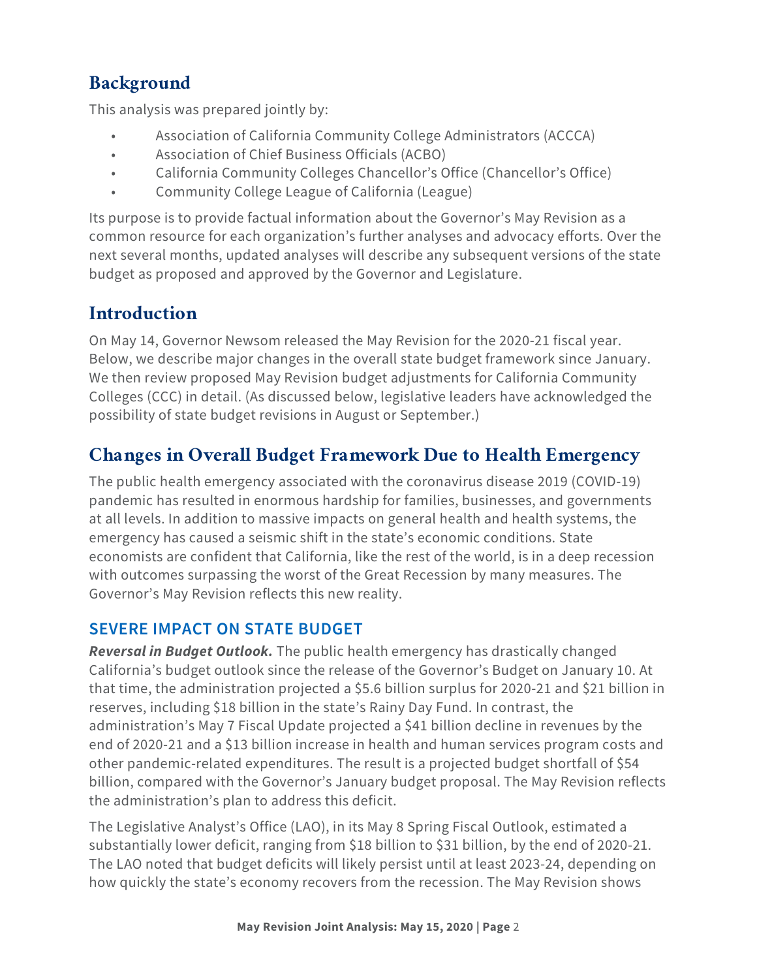### **Background**

This analysis was prepared jointly by:

- Association of California Community College Administrators (ACCCA)
- Association of Chief Business Officials (ACBO)
- California Community Colleges Chancellor's Office (Chancellor's Office)
- Community College League of California (League)

Its purpose is to provide factual information about the Governor's May Revision as a common resource for each organization's further analyses and advocacy efforts. Over the next several months, updated analyses will describe any subsequent versions of the state budget as proposed and approved by the Governor and Legislature.

### **Introduction**

On May 14, Governor Newsom released the May Revision for the 2020-21 fiscal year. Below, we describe major changes in the overall state budget framework since January. We then review proposed May Revision budget adjustments for California Community Colleges (CCC) in detail. (As discussed below, legislative leaders have acknowledged the possibility of state budget revisions in August or September.)

### **Changes in Overall Budget Framework Due to Health Emergency**

The public health emergency associated with the coronavirus disease 2019 (COVID-19) pandemic has resulted in enormous hardship for families, businesses, and governments at all levels. In addition to massive impacts on general health and health systems, the emergency has caused a seismic shift in the state's economic conditions. State economists are confident that California, like the rest of the world, is in a deep recession with outcomes surpassing the worst of the Great Recession by many measures. The Governor's May Revision reflects this new reality.

#### **SEVERE IMPACT ON STATE BUDGET**

*Reversal in Budget Outlook.* The public health emergency has drastically changed California's budget outlook since the release of the Governor's Budget on January 10. At that time, the administration projected a \$5.6 billion surplus for 2020-21 and \$21 billion in reserves, including \$18 billion in the state's Rainy Day Fund. In contrast, the administration's May 7 Fiscal Update projected a \$41 billion decline in revenues by the end of 2020-21 and a \$13 billion increase in health and human services program costs and other pandemic-related expenditures. The result is a projected budget shortfall of \$54 billion, compared with the Governor's January budget proposal. The May Revision reflects the administration's plan to address this deficit.

The Legislative Analyst's Office (LAO), in its May 8 Spring Fiscal Outlook, estimated a substantially lower deficit, ranging from \$18 billion to \$31 billion, by the end of 2020-21. The LAO noted that budget deficits will likely persist until at least 2023-24, depending on how quickly the state's economy recovers from the recession. The May Revision shows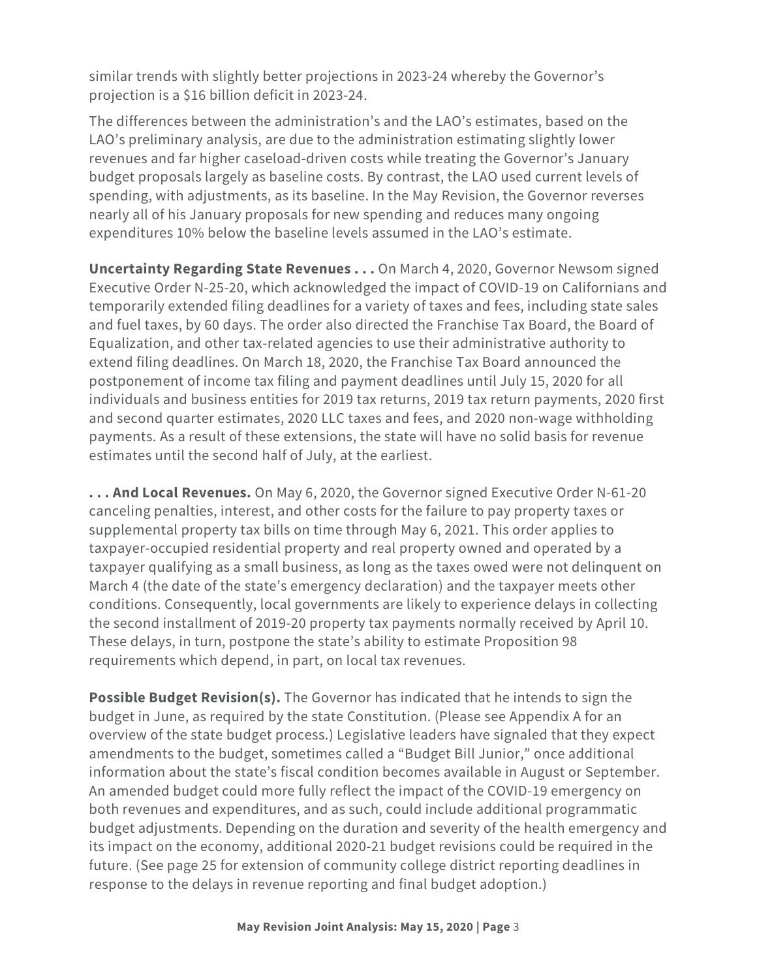similar trends with slightly better projections in 2023-24 whereby the Governor's projection is a \$16 billion deficit in 2023-24.

The differences between the administration's and the LAO's estimates, based on the LAO's preliminary analysis, are due to the administration estimating slightly lower revenues and far higher caseload-driven costs while treating the Governor's January budget proposals largely as baseline costs. By contrast, the LAO used current levels of spending, with adjustments, as its baseline. In the May Revision, the Governor reverses nearly all of his January proposals for new spending and reduces many ongoing expenditures 10% below the baseline levels assumed in the LAO's estimate.

**Uncertainty Regarding State Revenues . . .** On March 4, 2020, Governor Newsom signed Executive Order N-25-20, which acknowledged the impact of COVID-19 on Californians and temporarily extended filing deadlines for a variety of taxes and fees, including state sales and fuel taxes, by 60 days. The order also directed the Franchise Tax Board, the Board of Equalization, and other tax-related agencies to use their administrative authority to extend filing deadlines. On March 18, 2020, the Franchise Tax Board announced the postponement of income tax filing and payment deadlines until July 15, 2020 for all individuals and business entities for 2019 tax returns, 2019 tax return payments, 2020 first and second quarter estimates, 2020 LLC taxes and fees, and 2020 non-wage withholding payments. As a result of these extensions, the state will have no solid basis for revenue estimates until the second half of July, at the earliest.

**. . . And Local Revenues.** On May 6, 2020, the Governor signed Executive Order N-61-20 canceling penalties, interest, and other costs for the failure to pay property taxes or supplemental property tax bills on time through May 6, 2021. This order applies to taxpayer-occupied residential property and real property owned and operated by a taxpayer qualifying as a small business, as long as the taxes owed were not delinquent on March 4 (the date of the state's emergency declaration) and the taxpayer meets other conditions. Consequently, local governments are likely to experience delays in collecting the second installment of 2019-20 property tax payments normally received by April 10. These delays, in turn, postpone the state's ability to estimate Proposition 98 requirements which depend, in part, on local tax revenues.

**Possible Budget Revision(s).** The Governor has indicated that he intends to sign the budget in June, as required by the state Constitution. (Please see Appendix A for an overview of the state budget process.) Legislative leaders have signaled that they expect amendments to the budget, sometimes called a "Budget Bill Junior," once additional information about the state's fiscal condition becomes available in August or September. An amended budget could more fully reflect the impact of the COVID-19 emergency on both revenues and expenditures, and as such, could include additional programmatic budget adjustments. Depending on the duration and severity of the health emergency and its impact on the economy, additional 2020-21 budget revisions could be required in the future. (See page 25 for extension of community college district reporting deadlines in response to the delays in revenue reporting and final budget adoption.)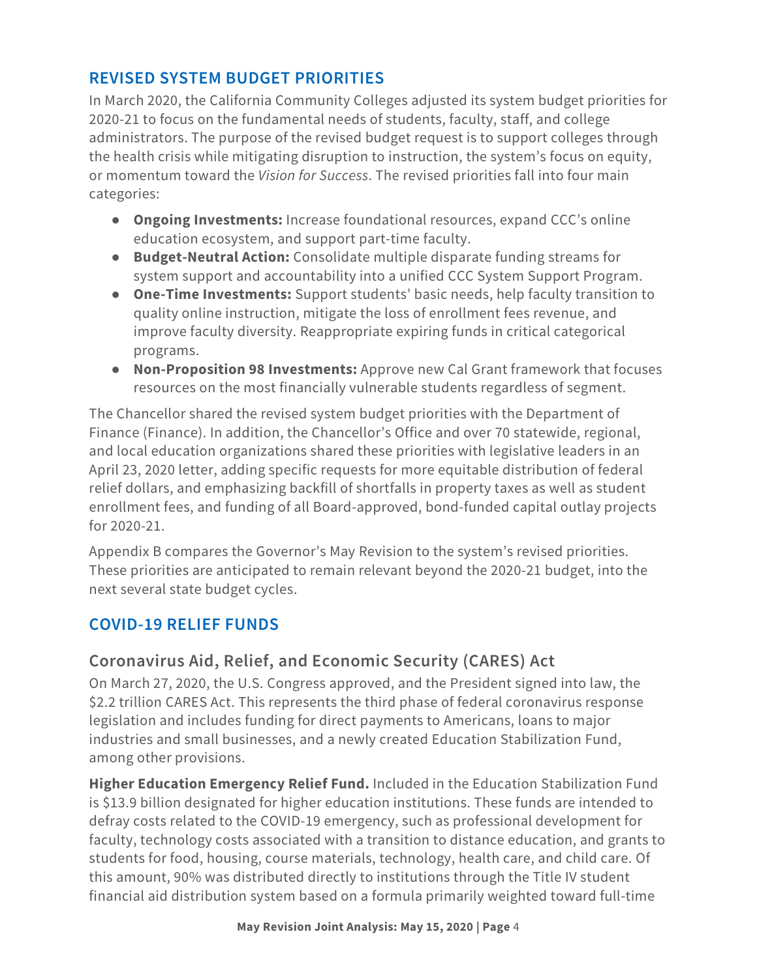### **REVISED SYSTEM BUDGET PRIORITIES**

In March 2020, the California Community Colleges adjusted its system budget priorities for 2020-21 to focus on the fundamental needs of students, faculty, staff, and college administrators. The purpose of the revised budget request is to support colleges through the health crisis while mitigating disruption to instruction, the system's focus on equity, or momentum toward the *Vision for Success*. The revised priorities fall into four main categories:

- **Ongoing Investments:** Increase foundational resources, expand CCC's online education ecosystem, and support part-time faculty.
- **Budget-Neutral Action:** Consolidate multiple disparate funding streams for system support and accountability into a unified CCC System Support Program.
- **One-Time Investments:** Support students' basic needs, help faculty transition to quality online instruction, mitigate the loss of enrollment fees revenue, and improve faculty diversity. Reappropriate expiring funds in critical categorical programs.
- **Non-Proposition 98 Investments:** Approve new Cal Grant framework that focuses resources on the most financially vulnerable students regardless of segment.

The Chancellor shared the revised system budget priorities with the Department of Finance (Finance). In addition, the Chancellor's Office and over 70 statewide, regional, and local education organizations shared these priorities with legislative leaders in an April 23, 2020 letter, adding specific requests for more equitable distribution of federal relief dollars, and emphasizing backfill of shortfalls in property taxes as well as student enrollment fees, and funding of all Board-approved, bond-funded capital outlay projects for 2020-21.

Appendix B compares the Governor's May Revision to the system's revised priorities. These priorities are anticipated to remain relevant beyond the 2020-21 budget, into the next several state budget cycles.

### **COVID-19 RELIEF FUNDS**

#### **Coronavirus Aid, Relief, and Economic Security (CARES) Act**

On March 27, 2020, the U.S. Congress approved, and the President signed into law, the \$2.2 trillion CARES Act. This represents the third phase of federal coronavirus response legislation and includes funding for direct payments to Americans, loans to major industries and small businesses, and a newly created Education Stabilization Fund, among other provisions.

**Higher Education Emergency Relief Fund.** Included in the Education Stabilization Fund is \$13.9 billion designated for higher education institutions. These funds are intended to defray costs related to the COVID-19 emergency, such as professional development for faculty, technology costs associated with a transition to distance education, and grants to students for food, housing, course materials, technology, health care, and child care. Of this amount, 90% was distributed directly to institutions through the Title IV student financial aid distribution system based on a formula primarily weighted toward full-time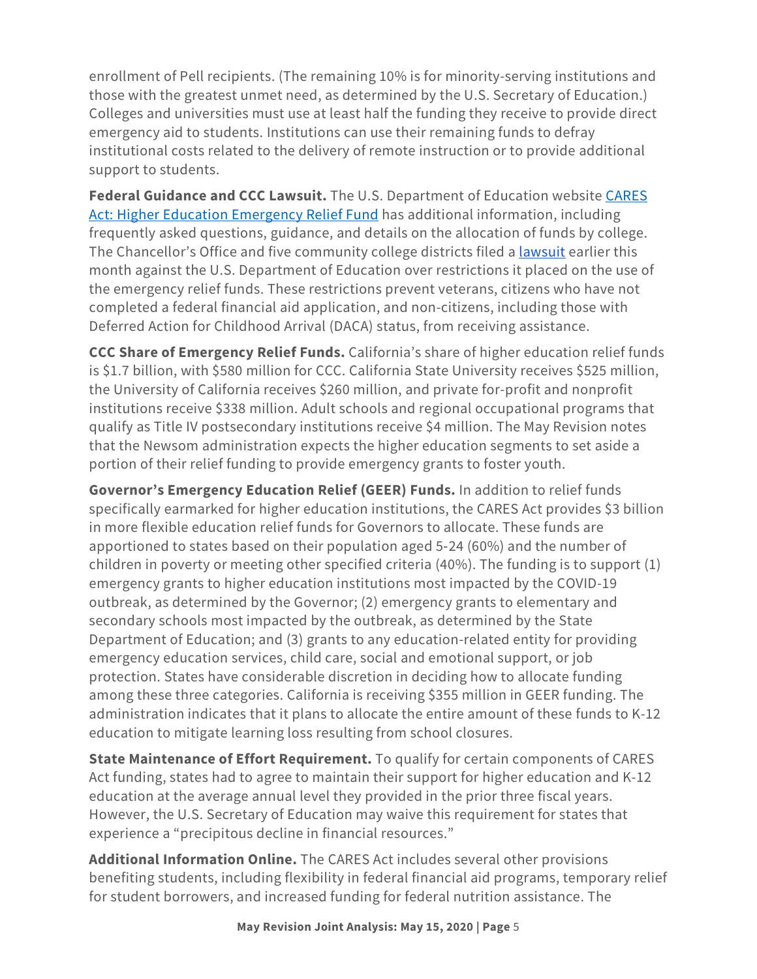enrollment of Pell recipients. (The remaining 10% is for minority-serving institutions and those with the greatest unmet need, as determined by the U.S. Secretary of Education.) Colleges and universities must use at least half the funding they receive to provide direct emergency aid to students. Institutions can use their remaining funds to defray institutional costs related to the delivery of remote instruction or to provide additional support to students.

**Federal Guidance and CCC Lawsuit.** The U.S. Department of Education website [CARES](https://www2.ed.gov/about/offices/list/ope/caresact.html)  [Act: Higher Education Emergency Relief Fund](https://www2.ed.gov/about/offices/list/ope/caresact.html) has additional information, including frequently asked questions, guidance, and details on the allocation of funds by college. The Chancellor's Office and five community college districts filed [a lawsuit](https://www.cccco.edu/About-Us/News-and-Media/Press-Releases/2020-DOE-LIT-PR) earlier this month against the U.S. Department of Education over restrictions it placed on the use of the emergency relief funds. These restrictions prevent veterans, citizens who have not completed a federal financial aid application, and non-citizens, including those with Deferred Action for Childhood Arrival (DACA) status, from receiving assistance.

**CCC Share of Emergency Relief Funds.** California's share of higher education relief funds is \$1.7 billion, with \$580 million for CCC. California State University receives \$525 million, the University of California receives \$260 million, and private for-profit and nonprofit institutions receive \$338 million. Adult schools and regional occupational programs that qualify as Title IV postsecondary institutions receive \$4 million. The May Revision notes that the Newsom administration expects the higher education segments to set aside a portion of their relief funding to provide emergency grants to foster youth.

**Governor's Emergency Education Relief (GEER) Funds.** In addition to relief funds specifically earmarked for higher education institutions, the CARES Act provides \$3 billion in more flexible education relief funds for Governors to allocate. These funds are apportioned to states based on their population aged 5‑24 (60%) and the number of children in poverty or meeting other specified criteria (40%). The funding is to support (1) emergency grants to higher education institutions most impacted by the COVID-19 outbreak, as determined by the Governor; (2) emergency grants to elementary and secondary schools most impacted by the outbreak, as determined by the State Department of Education; and (3) grants to any education-related entity for providing emergency education services, child care, social and emotional support, or job protection. States have considerable discretion in deciding how to allocate funding among these three categories. California is receiving \$355 million in GEER funding. The administration indicates that it plans to allocate the entire amount of these funds to K-12 education to mitigate learning loss resulting from school closures.

**State Maintenance of Effort Requirement.** To qualify for certain components of CARES Act funding, states had to agree to maintain their support for higher education and K-12 education at the average annual level they provided in the prior three fiscal years. However, the U.S. Secretary of Education may waive this requirement for states that experience a "precipitous decline in financial resources."

**Additional Information Online.** The CARES Act includes several other provisions benefiting students, including flexibility in federal financial aid programs, temporary relief for student borrowers, and increased funding for federal nutrition assistance. The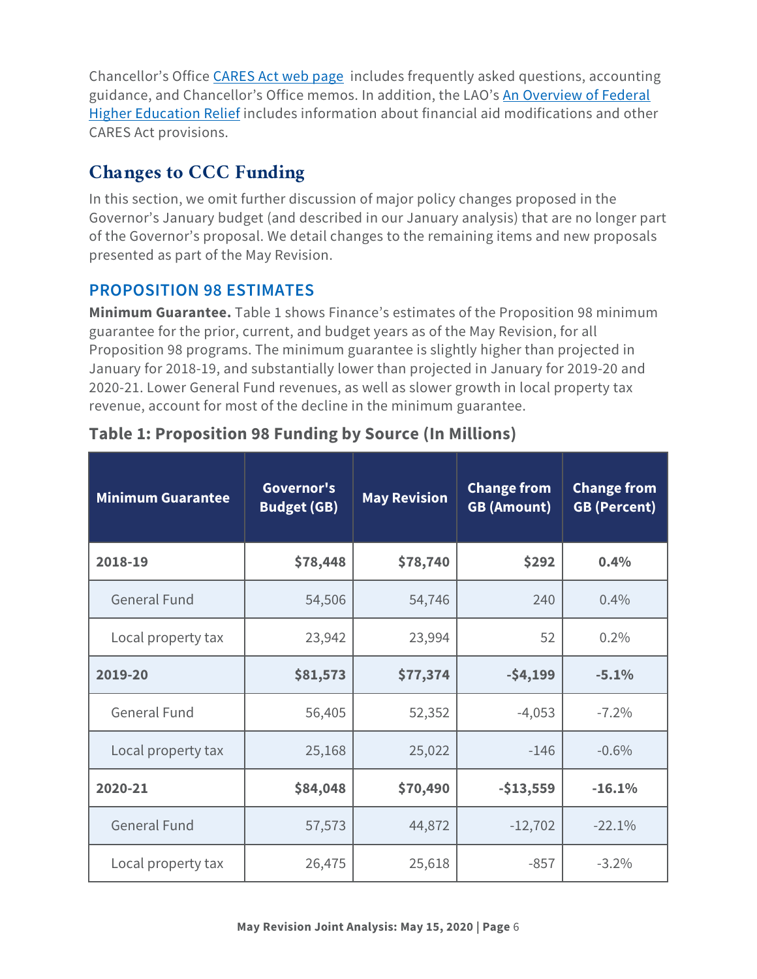Chancellor's Office [CARES Act web page](https://www.cccco.edu/About-Us/Chancellors-Office/Divisions/College-Finance-and-Facilities-Planning/CARES-Act) includes frequently asked questions, accounting guidance, and Chancellor's Office memos. In addition, the LAO's An Overview of Federal [Higher Education Relief](https://lao.ca.gov/Publications/Report/4225) includes information about financial aid modifications and other CARES Act provisions.

### **Changes to CCC Funding**

In this section, we omit further discussion of major policy changes proposed in the Governor's January budget (and described in our January analysis) that are no longer part of the Governor's proposal. We detail changes to the remaining items and new proposals presented as part of the May Revision.

### **PROPOSITION 98 ESTIMATES**

**Minimum Guarantee.** Table 1 shows Finance's estimates of the Proposition 98 minimum guarantee for the prior, current, and budget years as of the May Revision, for all Proposition 98 programs. The minimum guarantee is slightly higher than projected in January for 2018-19, and substantially lower than projected in January for 2019-20 and 2020-21. Lower General Fund revenues, as well as slower growth in local property tax revenue, account for most of the decline in the minimum guarantee.

| <b>Minimum Guarantee</b> | Governor's<br><b>Budget (GB)</b> | <b>May Revision</b> | <b>Change from</b><br><b>GB (Amount)</b> | <b>Change from</b><br><b>GB (Percent)</b> |
|--------------------------|----------------------------------|---------------------|------------------------------------------|-------------------------------------------|
| 2018-19                  | \$78,448                         | \$78,740            | \$292                                    | 0.4%                                      |
| <b>General Fund</b>      | 54,506                           | 54,746              | 240                                      | $0.4\%$                                   |
| Local property tax       | 23,942                           | 23,994              | 52                                       | 0.2%                                      |
| 2019-20                  | \$81,573                         | \$77,374            | $-54,199$                                | $-5.1%$                                   |
| <b>General Fund</b>      | 56,405                           | 52,352              | $-4,053$                                 | $-7.2\%$                                  |
| Local property tax       | 25,168                           | 25,022              | $-146$                                   | $-0.6%$                                   |
| 2020-21                  | \$84,048                         | \$70,490            | $-$13,559$                               | $-16.1%$                                  |
| <b>General Fund</b>      | 57,573                           | 44,872              | $-12,702$                                | $-22.1%$                                  |
| Local property tax       | 26,475                           | 25,618              | $-857$                                   | $-3.2\%$                                  |

### **Table 1: Proposition 98 Funding by Source (In Millions)**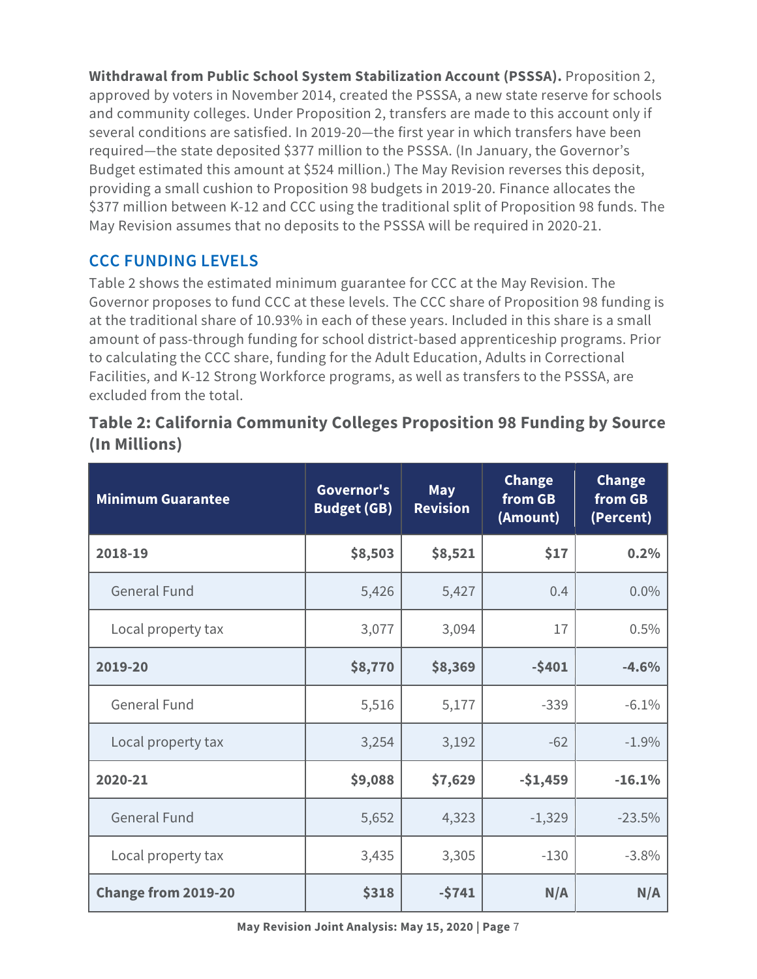**Withdrawal from Public School System Stabilization Account (PSSSA).** Proposition 2, approved by voters in November 2014, created the PSSSA, a new state reserve for schools and community colleges. Under Proposition 2, transfers are made to this account only if several conditions are satisfied. In 2019-20—the first year in which transfers have been required—the state deposited \$377 million to the PSSSA. (In January, the Governor's Budget estimated this amount at \$524 million.) The May Revision reverses this deposit, providing a small cushion to Proposition 98 budgets in 2019-20. Finance allocates the \$377 million between K-12 and CCC using the traditional split of Proposition 98 funds. The May Revision assumes that no deposits to the PSSSA will be required in 2020-21.

### **CCC FUNDING LEVELS**

Table 2 shows the estimated minimum guarantee for CCC at the May Revision. The Governor proposes to fund CCC at these levels. The CCC share of Proposition 98 funding is at the traditional share of 10.93% in each of these years. Included in this share is a small amount of pass-through funding for school district-based apprenticeship programs. Prior to calculating the CCC share, funding for the Adult Education, Adults in Correctional Facilities, and K-12 Strong Workforce programs, as well as transfers to the PSSSA, are excluded from the total.

| Table 2: California Community Colleges Proposition 98 Funding by Source |  |  |
|-------------------------------------------------------------------------|--|--|
| (In Millions)                                                           |  |  |

| <b>Minimum Guarantee</b>   | Governor's<br><b>Budget (GB)</b> | <b>May</b><br><b>Revision</b> | <b>Change</b><br>from GB<br>(Amount) | <b>Change</b><br>from GB<br>(Percent) |
|----------------------------|----------------------------------|-------------------------------|--------------------------------------|---------------------------------------|
| 2018-19                    | \$8,503                          | \$8,521                       | \$17                                 | 0.2%                                  |
| <b>General Fund</b>        | 5,426                            | 5,427                         | 0.4                                  | $0.0\%$                               |
| Local property tax         | 3,077                            | 3,094                         | 17                                   | 0.5%                                  |
| 2019-20                    | \$8,770                          | \$8,369                       | $-5401$                              | $-4.6%$                               |
| <b>General Fund</b>        | 5,516                            | 5,177                         | $-339$                               | $-6.1\%$                              |
| Local property tax         | 3,254                            | 3,192                         | $-62$                                | $-1.9%$                               |
| 2020-21                    | \$9,088                          | \$7,629                       | $-51,459$                            | $-16.1%$                              |
| <b>General Fund</b>        | 5,652                            | 4,323                         | $-1,329$                             | $-23.5%$                              |
| Local property tax         | 3,435                            | 3,305                         | $-130$                               | $-3.8%$                               |
| <b>Change from 2019-20</b> | \$318                            | $-5741$                       | N/A                                  | N/A                                   |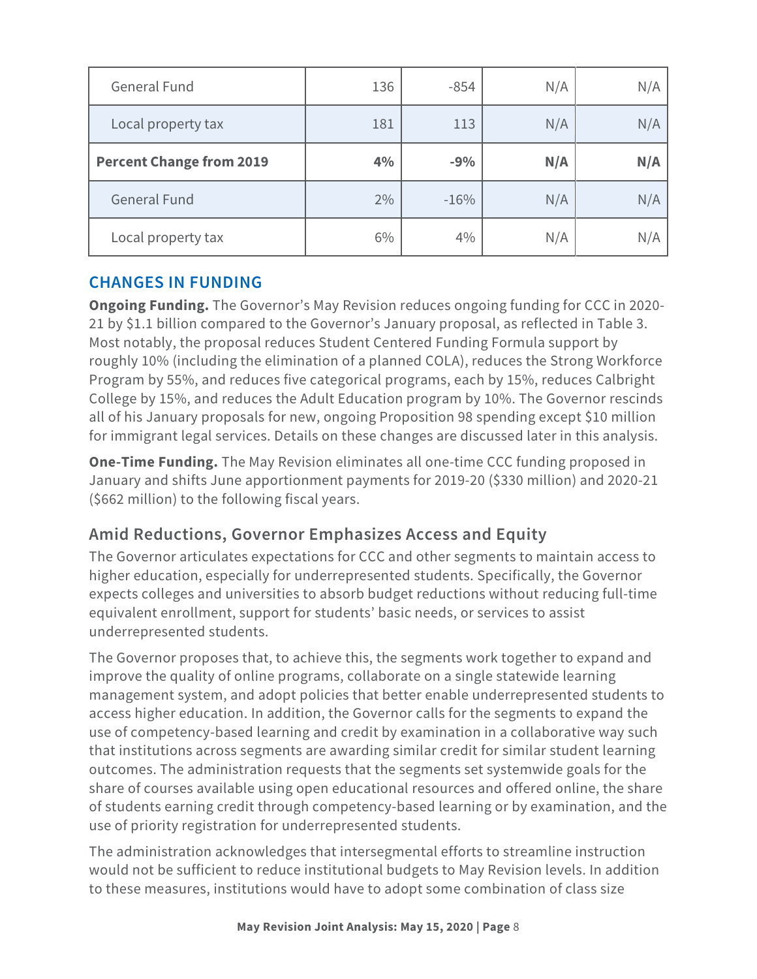| <b>General Fund</b>             | 136 | $-854$ | N/A | N/A |
|---------------------------------|-----|--------|-----|-----|
| Local property tax              | 181 | 113    | N/A | N/A |
| <b>Percent Change from 2019</b> | 4%  | $-9%$  | N/A | N/A |
| <b>General Fund</b>             | 2%  | $-16%$ | N/A | N/A |
| Local property tax              | 6%  | 4%     | N/A | N/A |

#### **CHANGES IN FUNDING**

**Ongoing Funding.** The Governor's May Revision reduces ongoing funding for CCC in 2020- 21 by \$1.1 billion compared to the Governor's January proposal, as reflected in Table 3. Most notably, the proposal reduces Student Centered Funding Formula support by roughly 10% (including the elimination of a planned COLA), reduces the Strong Workforce Program by 55%, and reduces five categorical programs, each by 15%, reduces Calbright College by 15%, and reduces the Adult Education program by 10%. The Governor rescinds all of his January proposals for new, ongoing Proposition 98 spending except \$10 million for immigrant legal services. Details on these changes are discussed later in this analysis.

**One-Time Funding.** The May Revision eliminates all one-time CCC funding proposed in January and shifts June apportionment payments for 2019-20 (\$330 million) and 2020-21 (\$662 million) to the following fiscal years.

### **Amid Reductions, Governor Emphasizes Access and Equity**

The Governor articulates expectations for CCC and other segments to maintain access to higher education, especially for underrepresented students. Specifically, the Governor expects colleges and universities to absorb budget reductions without reducing full-time equivalent enrollment, support for students' basic needs, or services to assist underrepresented students.

The Governor proposes that, to achieve this, the segments work together to expand and improve the quality of online programs, collaborate on a single statewide learning management system, and adopt policies that better enable underrepresented students to access higher education. In addition, the Governor calls for the segments to expand the use of competency-based learning and credit by examination in a collaborative way such that institutions across segments are awarding similar credit for similar student learning outcomes. The administration requests that the segments set systemwide goals for the share of courses available using open educational resources and offered online, the share of students earning credit through competency-based learning or by examination, and the use of priority registration for underrepresented students.

The administration acknowledges that intersegmental efforts to streamline instruction would not be sufficient to reduce institutional budgets to May Revision levels. In addition to these measures, institutions would have to adopt some combination of class size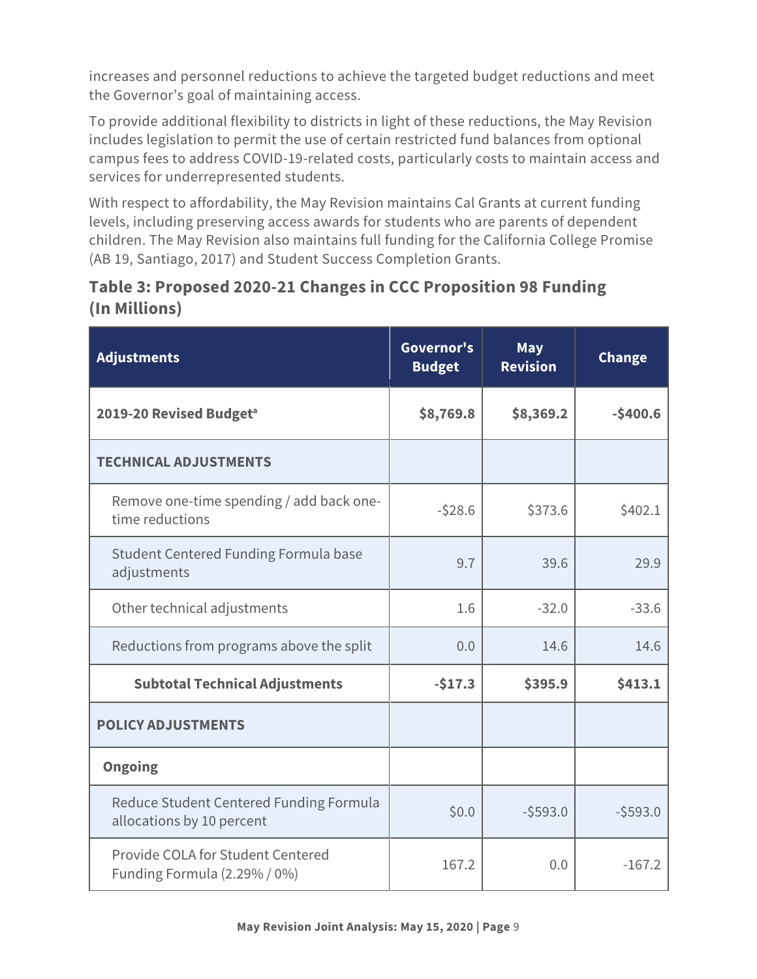increases and personnel reductions to achieve the targeted budget reductions and meet the Governor's goal of maintaining access.

To provide additional flexibility to districts in light of these reductions, the May Revision includes legislation to permit the use of certain restricted fund balances from optional campus fees to address COVID-19-related costs, particularly costs to maintain access and services for underrepresented students.

With respect to affordability, the May Revision maintains Cal Grants at current funding levels, including preserving access awards for students who are parents of dependent children. The May Revision also maintains full funding for the California College Promise (AB 19, Santiago, 2017) and Student Success Completion Grants.

### **Table 3: Proposed 2020-21 Changes in CCC Proposition 98 Funding (In Millions)**

| <b>Adjustments</b>                                                   | Governor's<br><b>Budget</b> | <b>May</b><br><b>Revision</b> | <b>Change</b> |
|----------------------------------------------------------------------|-----------------------------|-------------------------------|---------------|
| 2019-20 Revised Budget <sup>a</sup>                                  | \$8,769.8                   | \$8,369.2                     | $-$400.6$     |
| <b>TECHNICAL ADJUSTMENTS</b>                                         |                             |                               |               |
| Remove one-time spending / add back one-<br>time reductions          | $-528.6$                    | \$373.6                       | \$402.1       |
| Student Centered Funding Formula base<br>adjustments                 | 9.7                         | 39.6                          | 29.9          |
| Other technical adjustments                                          | 1.6                         | $-32.0$                       | $-33.6$       |
| Reductions from programs above the split                             | 0.0                         | 14.6                          | 14.6          |
| <b>Subtotal Technical Adjustments</b>                                | $-517.3$                    | \$395.9                       | \$413.1       |
| <b>POLICY ADJUSTMENTS</b>                                            |                             |                               |               |
| <b>Ongoing</b>                                                       |                             |                               |               |
| Reduce Student Centered Funding Formula<br>allocations by 10 percent | \$0.0                       | $-5593.0$                     | $-5593.0$     |
| Provide COLA for Student Centered<br>Funding Formula (2.29% / 0%)    | 167.2                       | 0.0                           | $-167.2$      |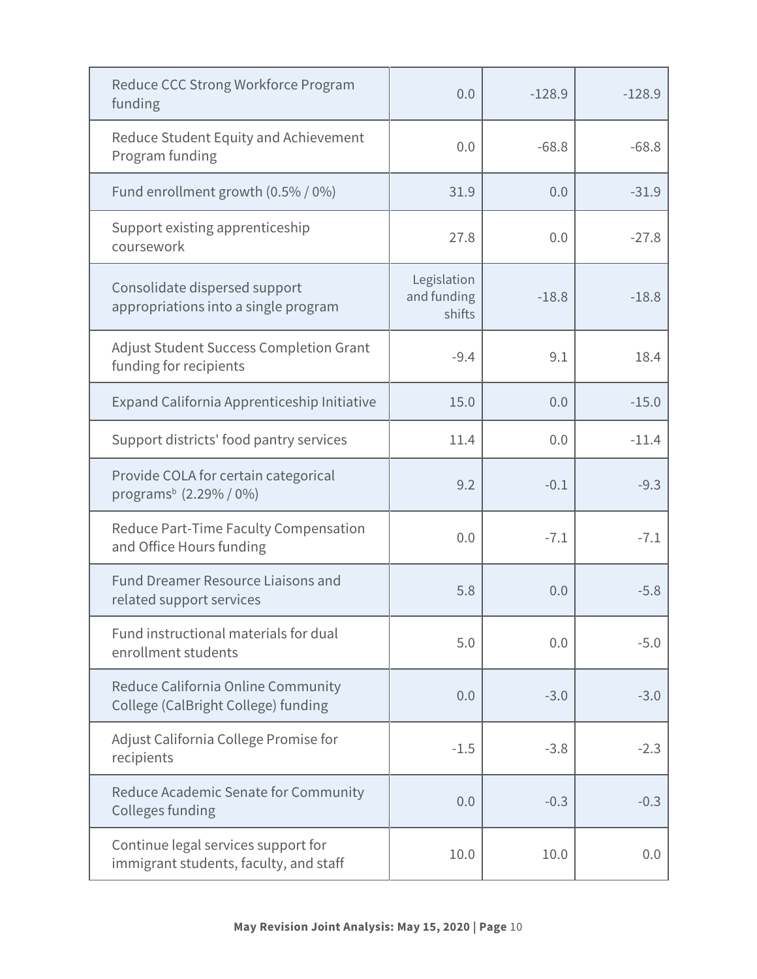| Reduce CCC Strong Workforce Program<br>funding                                | 0.0                                  | $-128.9$ | $-128.9$ |
|-------------------------------------------------------------------------------|--------------------------------------|----------|----------|
| Reduce Student Equity and Achievement<br>Program funding                      | 0.0                                  | $-68.8$  | $-68.8$  |
| Fund enrollment growth (0.5% / 0%)                                            | 31.9                                 | 0.0      | $-31.9$  |
| Support existing apprenticeship<br>coursework                                 | 27.8                                 | 0.0      | $-27.8$  |
| Consolidate dispersed support<br>appropriations into a single program         | Legislation<br>and funding<br>shifts | $-18.8$  | $-18.8$  |
| <b>Adjust Student Success Completion Grant</b><br>funding for recipients      | $-9.4$                               | 9.1      | 18.4     |
| Expand California Apprenticeship Initiative                                   | 15.0                                 | 0.0      | $-15.0$  |
| Support districts' food pantry services                                       | 11.4                                 | 0.0      | $-11.4$  |
| Provide COLA for certain categorical<br>programs <sup>b</sup> (2.29% / 0%)    | 9.2                                  | $-0.1$   | $-9.3$   |
| Reduce Part-Time Faculty Compensation<br>and Office Hours funding             | 0.0                                  | $-7.1$   | $-7.1$   |
| <b>Fund Dreamer Resource Liaisons and</b><br>related support services         | 5.8                                  | 0.0      | $-5.8$   |
| Fund instructional materials for dual<br>enrollment students                  | 5.0                                  | 0.0      | $-5.0$   |
| Reduce California Online Community<br>College (CalBright College) funding     | 0.0                                  | $-3.0$   | $-3.0$   |
| Adjust California College Promise for<br>recipients                           | $-1.5$                               | $-3.8$   | $-2.3$   |
| Reduce Academic Senate for Community<br>Colleges funding                      | 0.0                                  | $-0.3$   | $-0.3$   |
| Continue legal services support for<br>immigrant students, faculty, and staff | 10.0                                 | 10.0     | 0.0      |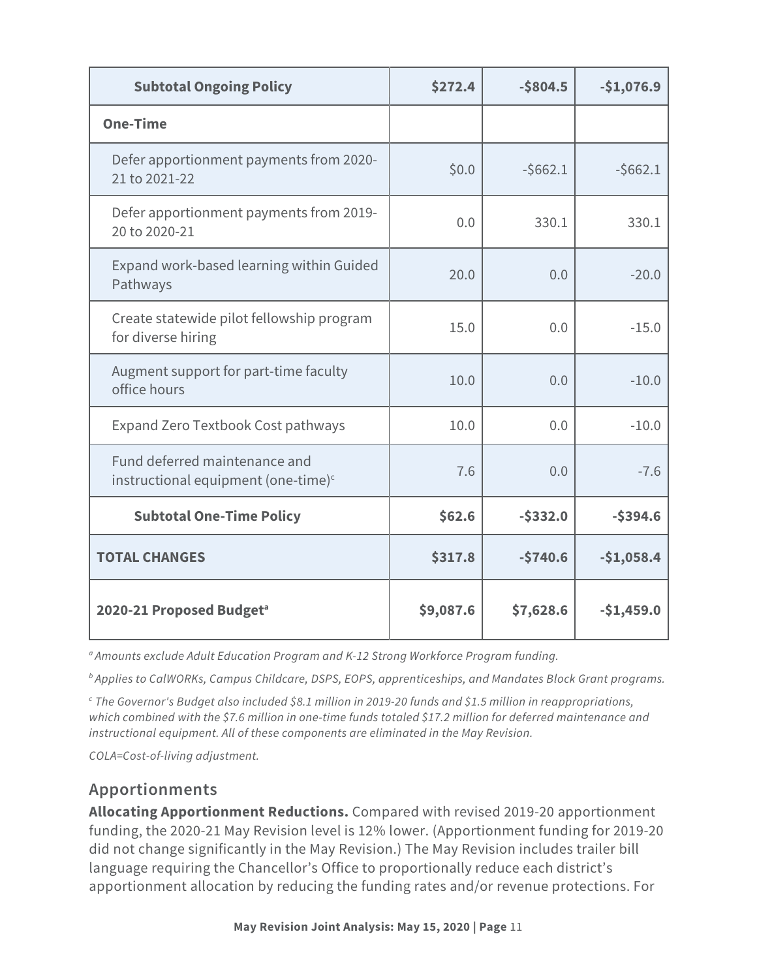| <b>Subtotal Ongoing Policy</b>                                                   | \$272.4   | $-5804.5$ | $-$1,076.9$ |
|----------------------------------------------------------------------------------|-----------|-----------|-------------|
| <b>One-Time</b>                                                                  |           |           |             |
| Defer apportionment payments from 2020-<br>21 to 2021-22                         | \$0.0     | $-5662.1$ | $-5662.1$   |
| Defer apportionment payments from 2019-<br>20 to 2020-21                         | 0.0       | 330.1     | 330.1       |
| Expand work-based learning within Guided<br>Pathways                             | 20.0      | 0.0       | $-20.0$     |
| Create statewide pilot fellowship program<br>for diverse hiring                  | 15.0      | 0.0       | $-15.0$     |
| Augment support for part-time faculty<br>office hours                            | 10.0      | 0.0       | $-10.0$     |
| Expand Zero Textbook Cost pathways                                               | 10.0      | 0.0       | $-10.0$     |
| Fund deferred maintenance and<br>instructional equipment (one-time) <sup>c</sup> | 7.6       | 0.0       | $-7.6$      |
| <b>Subtotal One-Time Policy</b>                                                  | \$62.6    | $-5332.0$ | $-5394.6$   |
| <b>TOTAL CHANGES</b>                                                             | \$317.8   | $-5740.6$ | $-$1,058.4$ |
| 2020-21 Proposed Budget <sup>a</sup>                                             | \$9,087.6 | \$7,628.6 | $-51,459.0$ |

*a Amounts exclude Adult Education Program and K-12 Strong Workforce Program funding.*

*b Applies to CalWORKs, Campus Childcare, DSPS, EOPS, apprenticeships, and Mandates Block Grant programs.*

*<sup>c</sup> The Governor's Budget also included \$8.1 million in 2019-20 funds and \$1.5 million in reappropriations, which combined with the \$7.6 million in one-time funds totaled \$17.2 million for deferred maintenance and instructional equipment. All of these components are eliminated in the May Revision.*

*COLA=Cost-of-living adjustment.*

#### **Apportionments**

**Allocating Apportionment Reductions.** Compared with revised 2019-20 apportionment funding, the 2020-21 May Revision level is 12% lower. (Apportionment funding for 2019-20 did not change significantly in the May Revision.) The May Revision includes trailer bill language requiring the Chancellor's Office to proportionally reduce each district's apportionment allocation by reducing the funding rates and/or revenue protections. For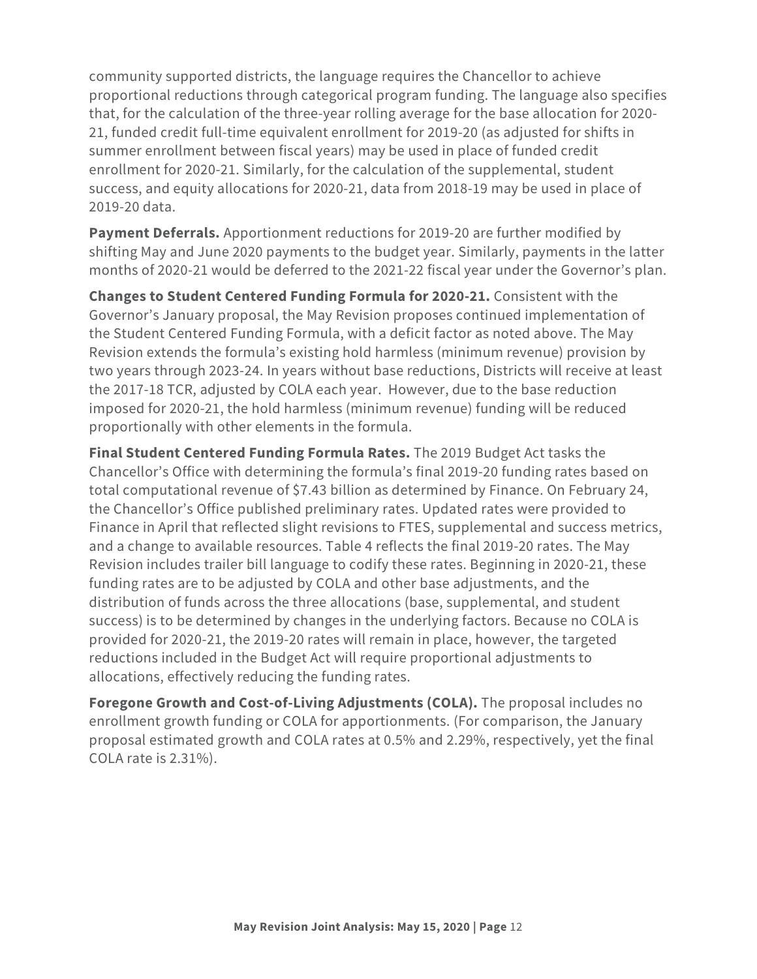community supported districts, the language requires the Chancellor to achieve proportional reductions through categorical program funding. The language also specifies that, for the calculation of the three-year rolling average for the base allocation for 2020- 21, funded credit full-time equivalent enrollment for 2019-20 (as adjusted for shifts in summer enrollment between fiscal years) may be used in place of funded credit enrollment for 2020-21. Similarly, for the calculation of the supplemental, student success, and equity allocations for 2020-21, data from 2018-19 may be used in place of 2019-20 data.

**Payment Deferrals.** Apportionment reductions for 2019-20 are further modified by shifting May and June 2020 payments to the budget year. Similarly, payments in the latter months of 2020-21 would be deferred to the 2021-22 fiscal year under the Governor's plan.

**Changes to Student Centered Funding Formula for 2020-21.** Consistent with the Governor's January proposal, the May Revision proposes continued implementation of the Student Centered Funding Formula, with a deficit factor as noted above. The May Revision extends the formula's existing hold harmless (minimum revenue) provision by two years through 2023-24. In years without base reductions, Districts will receive at least the 2017-18 TCR, adjusted by COLA each year. However, due to the base reduction imposed for 2020-21, the hold harmless (minimum revenue) funding will be reduced proportionally with other elements in the formula.

**Final Student Centered Funding Formula Rates.** The 2019 Budget Act tasks the Chancellor's Office with determining the formula's final 2019-20 funding rates based on total computational revenue of \$7.43 billion as determined by Finance. On February 24, the Chancellor's Office published preliminary rates. Updated rates were provided to Finance in April that reflected slight revisions to FTES, supplemental and success metrics, and a change to available resources. Table 4 reflects the final 2019-20 rates. The May Revision includes trailer bill language to codify these rates. Beginning in 2020-21, these funding rates are to be adjusted by COLA and other base adjustments, and the distribution of funds across the three allocations (base, supplemental, and student success) is to be determined by changes in the underlying factors. Because no COLA is provided for 2020-21, the 2019-20 rates will remain in place, however, the targeted reductions included in the Budget Act will require proportional adjustments to allocations, effectively reducing the funding rates.

**Foregone Growth and Cost-of-Living Adjustments (COLA).** The proposal includes no enrollment growth funding or COLA for apportionments. (For comparison, the January proposal estimated growth and COLA rates at 0.5% and 2.29%, respectively, yet the final COLA rate is 2.31%).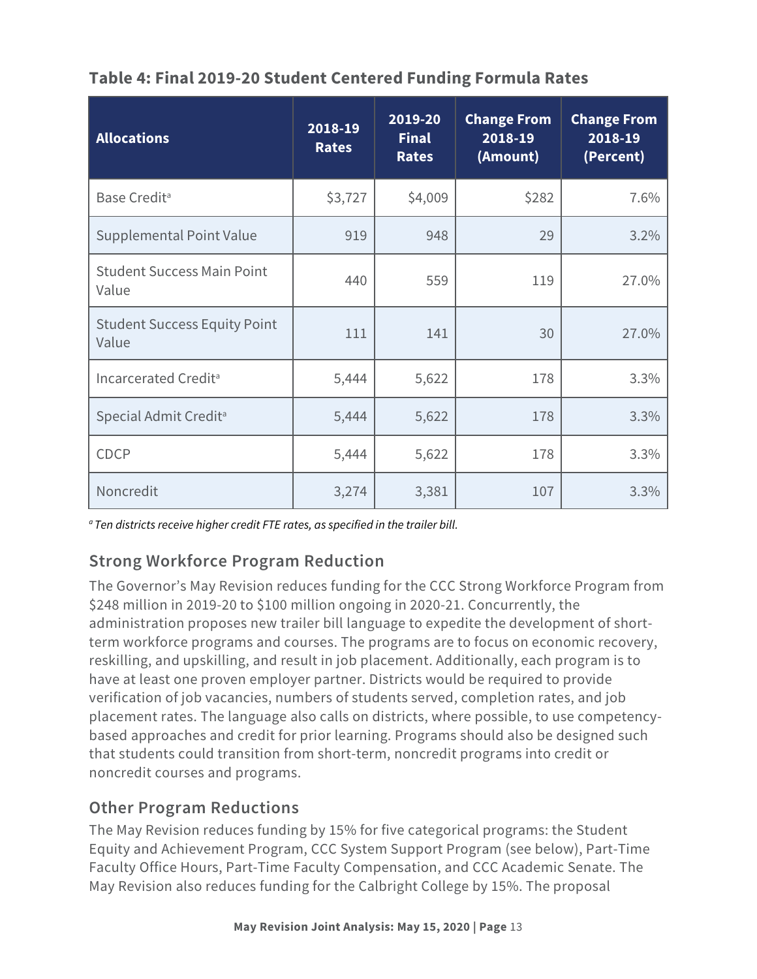| <b>Allocations</b>                           | 2018-19<br><b>Rates</b> | 2019-20<br><b>Final</b><br><b>Rates</b> | <b>Change From</b><br>2018-19<br>(Amount) | <b>Change From</b><br>2018-19<br>(Percent) |
|----------------------------------------------|-------------------------|-----------------------------------------|-------------------------------------------|--------------------------------------------|
| Base Credit <sup>a</sup>                     | \$3,727                 | \$4,009                                 | \$282                                     | 7.6%                                       |
| Supplemental Point Value                     | 919                     | 948                                     | 29                                        | 3.2%                                       |
| <b>Student Success Main Point</b><br>Value   | 440                     | 559                                     | 119                                       | 27.0%                                      |
| <b>Student Success Equity Point</b><br>Value | 111                     | 141                                     | 30                                        | 27.0%                                      |
| Incarcerated Credit <sup>a</sup>             | 5,444                   | 5,622                                   | 178                                       | 3.3%                                       |
| Special Admit Credit <sup>a</sup>            | 5,444                   | 5,622                                   | 178                                       | 3.3%                                       |
| CDCP                                         | 5,444                   | 5,622                                   | 178                                       | 3.3%                                       |
| Noncredit                                    | 3,274                   | 3,381                                   | 107                                       | 3.3%                                       |

### **Table 4: Final 2019-20 Student Centered Funding Formula Rates**

*a Ten districts receive higher credit FTE rates, as specified in the trailer bill.*

### **Strong Workforce Program Reduction**

The Governor's May Revision reduces funding for the CCC Strong Workforce Program from \$248 million in 2019-20 to \$100 million ongoing in 2020-21. Concurrently, the administration proposes new trailer bill language to expedite the development of shortterm workforce programs and courses. The programs are to focus on economic recovery, reskilling, and upskilling, and result in job placement. Additionally, each program is to have at least one proven employer partner. Districts would be required to provide verification of job vacancies, numbers of students served, completion rates, and job placement rates. The language also calls on districts, where possible, to use competencybased approaches and credit for prior learning. Programs should also be designed such that students could transition from short-term, noncredit programs into credit or noncredit courses and programs.

### **Other Program Reductions**

The May Revision reduces funding by 15% for five categorical programs: the Student Equity and Achievement Program, CCC System Support Program (see below), Part-Time Faculty Office Hours, Part-Time Faculty Compensation, and CCC Academic Senate. The May Revision also reduces funding for the Calbright College by 15%. The proposal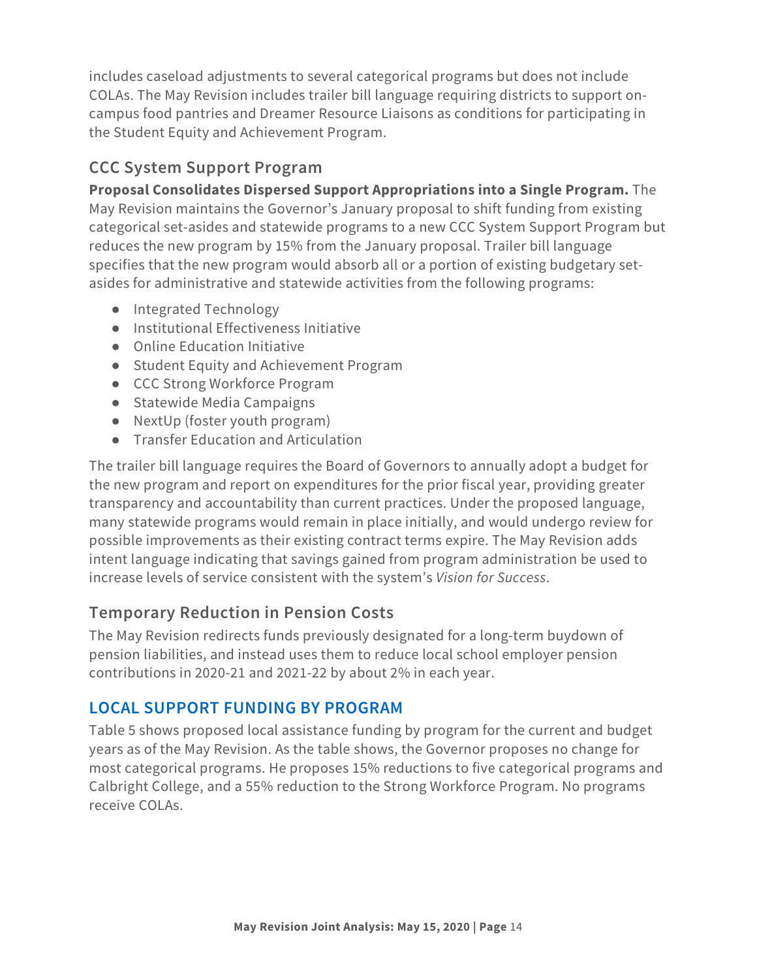includes caseload adjustments to several categorical programs but does not include COLAs. The May Revision includes trailer bill language requiring districts to support oncampus food pantries and Dreamer Resource Liaisons as conditions for participating in the Student Equity and Achievement Program.

### **CCC System Support Program**

**Proposal Consolidates Dispersed Support Appropriations into a Single Program.** The

May Revision maintains the Governor's January proposal to shift funding from existing categorical set-asides and statewide programs to a new CCC System Support Program but reduces the new program by 15% from the January proposal. Trailer bill language specifies that the new program would absorb all or a portion of existing budgetary setasides for administrative and statewide activities from the following programs:

- Integrated Technology
- Institutional Effectiveness Initiative
- Online Education Initiative
- Student Equity and Achievement Program
- CCC Strong Workforce Program
- Statewide Media Campaigns
- NextUp (foster youth program)
- Transfer Education and Articulation

The trailer bill language requires the Board of Governors to annually adopt a budget for the new program and report on expenditures for the prior fiscal year, providing greater transparency and accountability than current practices. Under the proposed language, many statewide programs would remain in place initially, and would undergo review for possible improvements as their existing contract terms expire. The May Revision adds intent language indicating that savings gained from program administration be used to increase levels of service consistent with the system's *Vision for Success*.

### **Temporary Reduction in Pension Costs**

The May Revision redirects funds previously designated for a long-term buydown of pension liabilities, and instead uses them to reduce local school employer pension contributions in 2020-21 and 2021-22 by about 2% in each year.

### **LOCAL SUPPORT FUNDING BY PROGRAM**

Table 5 shows proposed local assistance funding by program for the current and budget years as of the May Revision. As the table shows, the Governor proposes no change for most categorical programs. He proposes 15% reductions to five categorical programs and Calbright College, and a 55% reduction to the Strong Workforce Program. No programs receive COLAs.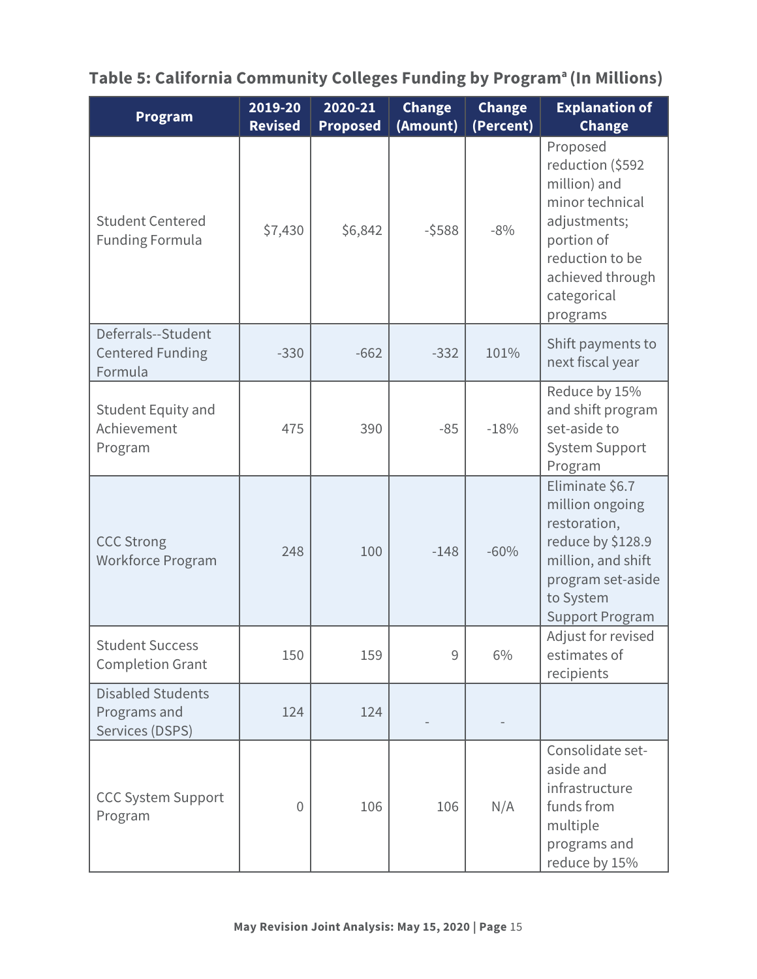### Table 5: California Community Colleges Funding by Program<sup>a</sup> (In Millions)

| Program                                                     | 2019-20<br><b>Revised</b> | 2020-21<br><b>Proposed</b> | <b>Change</b><br>(Amount) | <b>Change</b><br>(Percent) | <b>Explanation of</b><br><b>Change</b>                                                                                                                          |
|-------------------------------------------------------------|---------------------------|----------------------------|---------------------------|----------------------------|-----------------------------------------------------------------------------------------------------------------------------------------------------------------|
| <b>Student Centered</b><br><b>Funding Formula</b>           | \$7,430                   | \$6,842                    | $-5588$                   | $-8%$                      | Proposed<br>reduction (\$592<br>million) and<br>minor technical<br>adjustments;<br>portion of<br>reduction to be<br>achieved through<br>categorical<br>programs |
| Deferrals--Student<br><b>Centered Funding</b><br>Formula    | $-330$                    | $-662$                     | $-332$                    | 101%                       | Shift payments to<br>next fiscal year                                                                                                                           |
| Student Equity and<br>Achievement<br>Program                | 475                       | 390                        | $-85$                     | $-18%$                     | Reduce by 15%<br>and shift program<br>set-aside to<br><b>System Support</b><br>Program                                                                          |
| <b>CCC Strong</b><br><b>Workforce Program</b>               | 248                       | 100                        | $-148$                    | $-60%$                     | Eliminate \$6.7<br>million ongoing<br>restoration,<br>reduce by \$128.9<br>million, and shift<br>program set-aside<br>to System<br><b>Support Program</b>       |
| <b>Student Success</b><br><b>Completion Grant</b>           | 150                       | 159                        | 9                         | 6%                         | Adjust for revised<br>estimates of<br>recipients                                                                                                                |
| <b>Disabled Students</b><br>Programs and<br>Services (DSPS) | 124                       | 124                        |                           |                            |                                                                                                                                                                 |
| <b>CCC System Support</b><br>Program                        | $\overline{0}$            | 106                        | 106                       | N/A                        | Consolidate set-<br>aside and<br>infrastructure<br>funds from<br>multiple<br>programs and<br>reduce by 15%                                                      |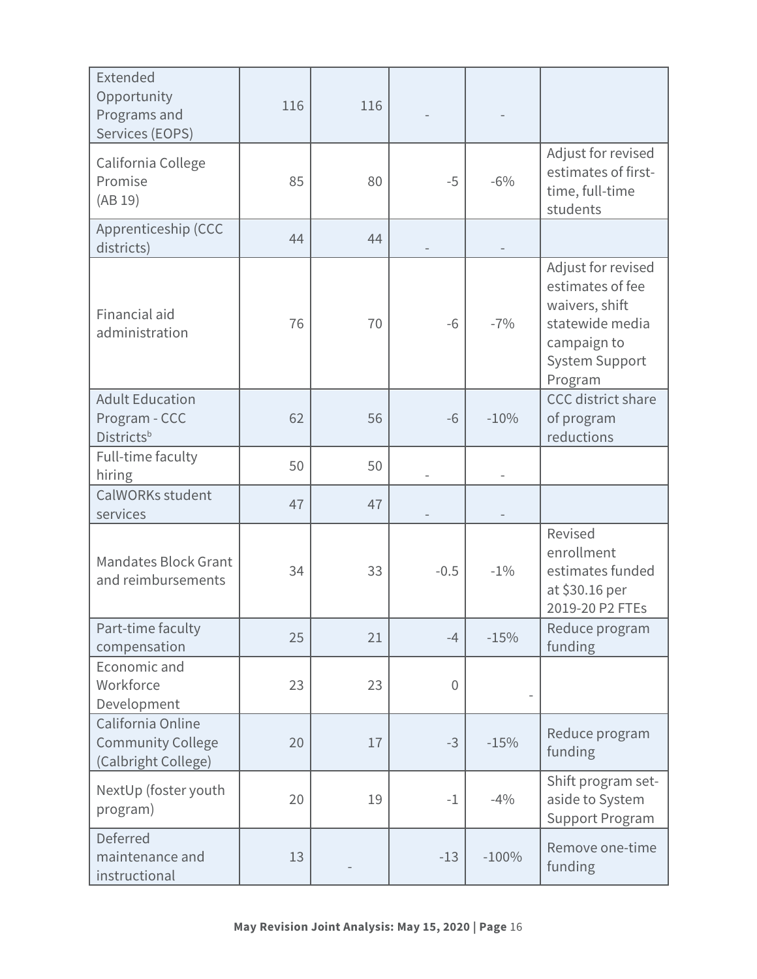| Extended<br>Opportunity<br>Programs and<br>Services (EOPS)               | 116 | 116 |                |         |                                                                                                                                |
|--------------------------------------------------------------------------|-----|-----|----------------|---------|--------------------------------------------------------------------------------------------------------------------------------|
| California College<br>Promise<br>(AB 19)                                 | 85  | 80  | $-5$           | $-6%$   | Adjust for revised<br>estimates of first-<br>time, full-time<br>students                                                       |
| Apprenticeship (CCC<br>districts)                                        | 44  | 44  |                |         |                                                                                                                                |
| Financial aid<br>administration                                          | 76  | 70  | -6             | $-7%$   | Adjust for revised<br>estimates of fee<br>waivers, shift<br>statewide media<br>campaign to<br><b>System Support</b><br>Program |
| <b>Adult Education</b><br>Program - CCC<br><b>Districts</b> <sup>b</sup> | 62  | 56  | $-6$           | $-10%$  | <b>CCC</b> district share<br>of program<br>reductions                                                                          |
| Full-time faculty<br>hiring                                              | 50  | 50  |                |         |                                                                                                                                |
| CalWORKs student<br>services                                             | 47  | 47  |                |         |                                                                                                                                |
| <b>Mandates Block Grant</b><br>and reimbursements                        | 34  | 33  | $-0.5$         | $-1\%$  | Revised<br>enrollment<br>estimates funded<br>at \$30.16 per<br>2019-20 P2 FTEs                                                 |
| Part-time faculty<br>compensation                                        | 25  | 21  | $-4$           | $-15%$  | Reduce program<br>funding                                                                                                      |
| Economic and<br>Workforce<br>Development                                 | 23  | 23  | $\overline{0}$ |         |                                                                                                                                |
| California Online<br><b>Community College</b><br>(Calbright College)     | 20  | 17  | $-3$           | $-15%$  | Reduce program<br>funding                                                                                                      |
| NextUp (foster youth<br>program)                                         | 20  | 19  | $-1$           | $-4%$   | Shift program set-<br>aside to System<br><b>Support Program</b>                                                                |
| Deferred<br>maintenance and<br>instructional                             | 13  |     | $-13$          | $-100%$ | Remove one-time<br>funding                                                                                                     |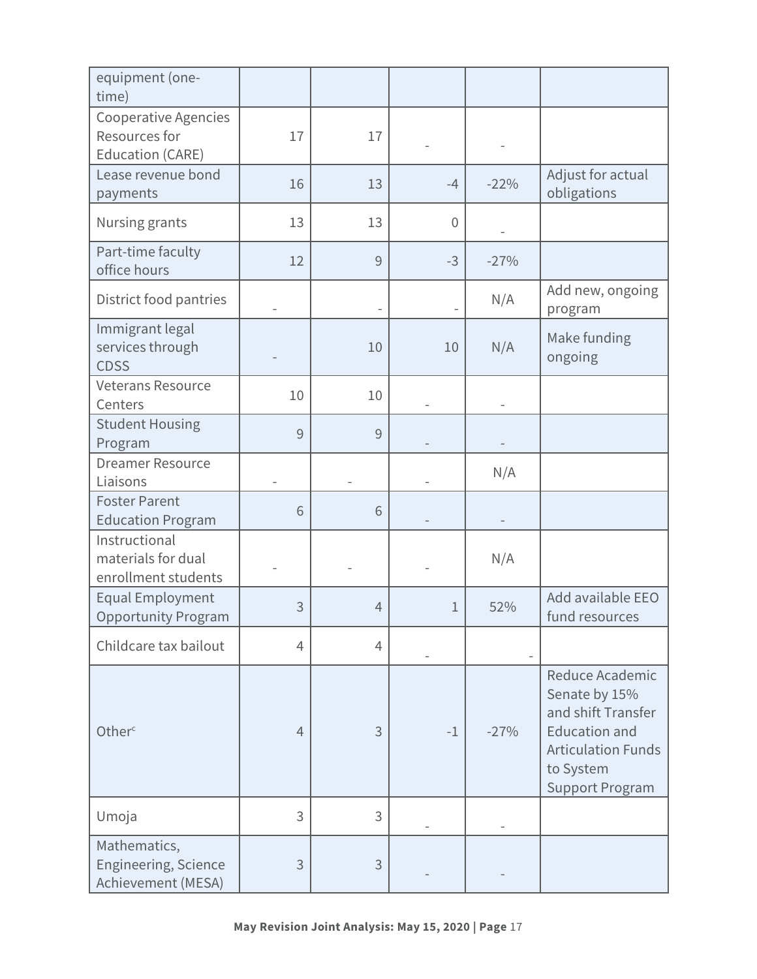| equipment (one-<br>time)                                                |                |                |      |        |                                                                                                                                                    |
|-------------------------------------------------------------------------|----------------|----------------|------|--------|----------------------------------------------------------------------------------------------------------------------------------------------------|
| <b>Cooperative Agencies</b><br>Resources for<br><b>Education (CARE)</b> | 17             | 17             |      |        |                                                                                                                                                    |
| Lease revenue bond<br>payments                                          | 16             | 13             | $-4$ | $-22%$ | Adjust for actual<br>obligations                                                                                                                   |
| Nursing grants                                                          | 13             | 13             | 0    |        |                                                                                                                                                    |
| Part-time faculty<br>office hours                                       | 12             | 9              | $-3$ | $-27%$ |                                                                                                                                                    |
| District food pantries                                                  |                |                |      | N/A    | Add new, ongoing<br>program                                                                                                                        |
| Immigrant legal<br>services through<br><b>CDSS</b>                      |                | 10             | 10   | N/A    | Make funding<br>ongoing                                                                                                                            |
| <b>Veterans Resource</b><br>Centers                                     | 10             | 10             |      |        |                                                                                                                                                    |
| <b>Student Housing</b><br>Program                                       | 9              | 9              |      |        |                                                                                                                                                    |
| <b>Dreamer Resource</b><br>Liaisons                                     |                |                |      | N/A    |                                                                                                                                                    |
| <b>Foster Parent</b><br><b>Education Program</b>                        | 6              | 6              |      |        |                                                                                                                                                    |
| Instructional<br>materials for dual<br>enrollment students              |                |                |      | N/A    |                                                                                                                                                    |
| Equal Employment<br><b>Opportunity Program</b>                          | 3              | $\overline{4}$ | 1    | 52%    | Add available EEO<br>fund resources                                                                                                                |
| Childcare tax bailout                                                   | $\overline{4}$ | 4              |      |        |                                                                                                                                                    |
| Other <sup>c</sup>                                                      | $\overline{4}$ | 3              | $-1$ | $-27%$ | Reduce Academic<br>Senate by 15%<br>and shift Transfer<br><b>Education and</b><br><b>Articulation Funds</b><br>to System<br><b>Support Program</b> |
| Umoja                                                                   | 3              | 3              |      |        |                                                                                                                                                    |
| Mathematics,<br>Engineering, Science<br>Achievement (MESA)              | 3              | 3              |      |        |                                                                                                                                                    |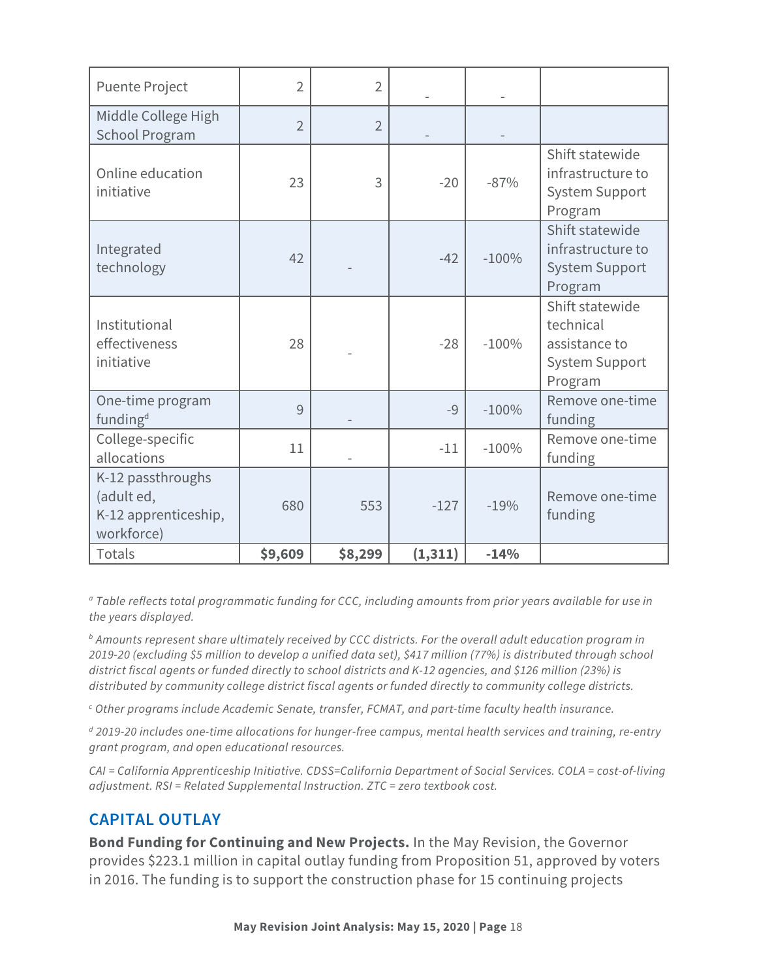| Puente Project                                                        | $\overline{2}$ | $\overline{2}$ |          |         |                                                                                   |
|-----------------------------------------------------------------------|----------------|----------------|----------|---------|-----------------------------------------------------------------------------------|
| Middle College High<br><b>School Program</b>                          | $\overline{2}$ | $\overline{2}$ |          |         |                                                                                   |
| Online education<br>initiative                                        | 23             | 3              | $-20$    | $-87%$  | Shift statewide<br>infrastructure to<br><b>System Support</b><br>Program          |
| Integrated<br>technology                                              | 42             |                | $-42$    | $-100%$ | Shift statewide<br>infrastructure to<br><b>System Support</b><br>Program          |
| Institutional<br>effectiveness<br>initiative                          | 28             |                | $-28$    | $-100%$ | Shift statewide<br>technical<br>assistance to<br><b>System Support</b><br>Program |
| One-time program<br>funding <sup>d</sup>                              | 9              |                | $-9$     | $-100%$ | Remove one-time<br>funding                                                        |
| College-specific<br>allocations                                       | 11             |                | $-11$    | $-100%$ | Remove one-time<br>funding                                                        |
| K-12 passthroughs<br>(adult ed,<br>K-12 apprenticeship,<br>workforce) | 680            | 553            | $-127$   | $-19%$  | Remove one-time<br>funding                                                        |
| Totals                                                                | \$9,609        | \$8,299        | (1, 311) | $-14%$  |                                                                                   |

*<sup>a</sup> Table reflects total programmatic funding for CCC, including amounts from prior years available for use in the years displayed.*

*<sup>b</sup> Amounts represent share ultimately received by CCC districts. For the overall adult education program in 2019-20 (excluding \$5 million to develop a unified data set), \$417 million (77%) is distributed through school district fiscal agents or funded directly to school districts and K-12 agencies, and \$126 million (23%) is distributed by community college district fiscal agents or funded directly to community college districts.*

*<sup>c</sup> Other programs include Academic Senate, transfer, FCMAT, and part-time faculty health insurance.*

*<sup>d</sup> 2019-20 includes one-time allocations for hunger-free campus, mental health services and training, re-entry grant program, and open educational resources.* 

*CAI = California Apprenticeship Initiative. CDSS=California Department of Social Services. COLA = cost-of-living adjustment. RSI = Related Supplemental Instruction. ZTC = zero textbook cost.* 

#### **CAPITAL OUTLAY**

**Bond Funding for Continuing and New Projects.** In the May Revision, the Governor provides \$223.1 million in capital outlay funding from Proposition 51, approved by voters in 2016. The funding is to support the construction phase for 15 continuing projects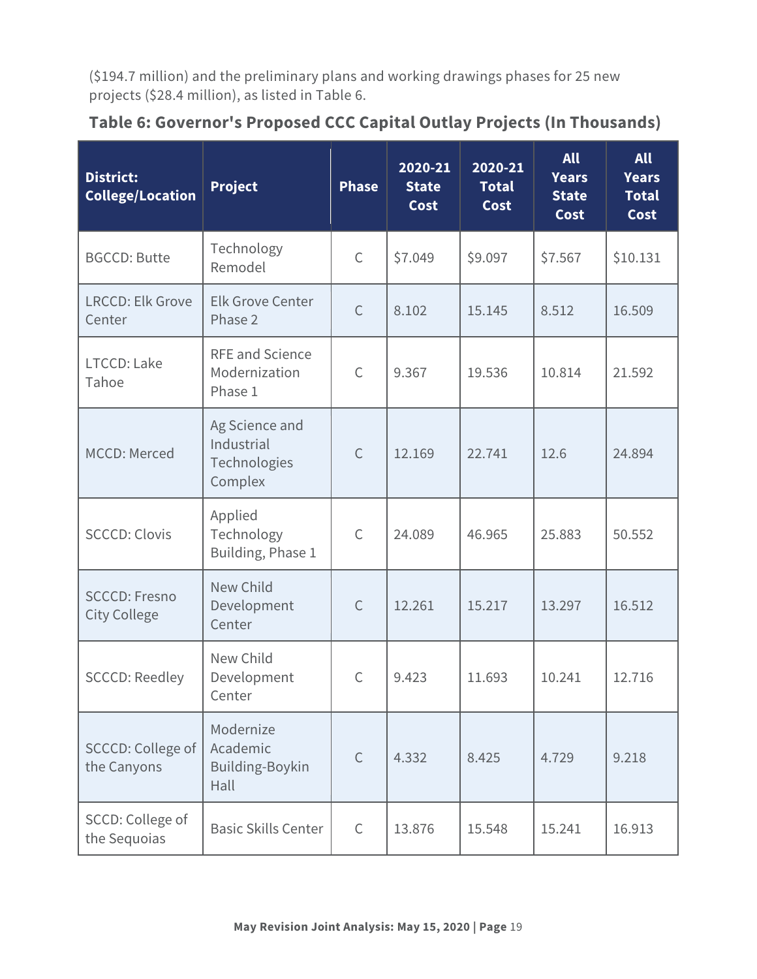(\$194.7 million) and the preliminary plans and working drawings phases for 25 new projects (\$28.4 million), as listed in Table 6.

| <b>District:</b><br><b>College/Location</b> | <b>Project</b>                                          | <b>Phase</b> | 2020-21<br><b>State</b><br><b>Cost</b> | 2020-21<br><b>Total</b><br><b>Cost</b> | <b>All</b><br><b>Years</b><br><b>State</b><br><b>Cost</b> | <b>All</b><br><b>Years</b><br><b>Total</b><br><b>Cost</b> |
|---------------------------------------------|---------------------------------------------------------|--------------|----------------------------------------|----------------------------------------|-----------------------------------------------------------|-----------------------------------------------------------|
| <b>BGCCD: Butte</b>                         | Technology<br>Remodel                                   | $\mathsf{C}$ | \$7.049                                | \$9.097                                | \$7.567                                                   | \$10.131                                                  |
| <b>LRCCD: Elk Grove</b><br>Center           | <b>Elk Grove Center</b><br>Phase 2                      | $\mathsf C$  | 8.102                                  | 15.145                                 | 8.512                                                     | 16.509                                                    |
| LTCCD: Lake<br>Tahoe                        | <b>RFE and Science</b><br>Modernization<br>Phase 1      | $\mathsf{C}$ | 9.367                                  | 19.536                                 | 10.814                                                    | 21.592                                                    |
| MCCD: Merced                                | Ag Science and<br>Industrial<br>Technologies<br>Complex | $\mathsf C$  | 12.169                                 | 22.741                                 | 12.6                                                      | 24.894                                                    |
| <b>SCCCD: Clovis</b>                        | Applied<br>Technology<br>Building, Phase 1              | $\mathsf C$  | 24.089                                 | 46.965                                 | 25.883                                                    | 50.552                                                    |
| <b>SCCCD: Fresno</b><br><b>City College</b> | New Child<br>Development<br>Center                      | $\mathsf{C}$ | 12.261                                 | 15.217                                 | 13.297                                                    | 16.512                                                    |
| <b>SCCCD: Reedley</b>                       | New Child<br>Development<br>Center                      | $\mathsf C$  | 9.423                                  | 11.693                                 | 10.241                                                    | 12.716                                                    |
| SCCCD: College of<br>the Canyons            | Modernize<br>Academic<br>Building-Boykin<br>Hall        | $\mathsf{C}$ | 4.332                                  | 8.425                                  | 4.729                                                     | 9.218                                                     |
| SCCD: College of<br>the Sequoias            | <b>Basic Skills Center</b>                              | $\mathsf{C}$ | 13.876                                 | 15.548                                 | 15.241                                                    | 16.913                                                    |

### **Table 6: Governor's Proposed CCC Capital Outlay Projects (In Thousands)**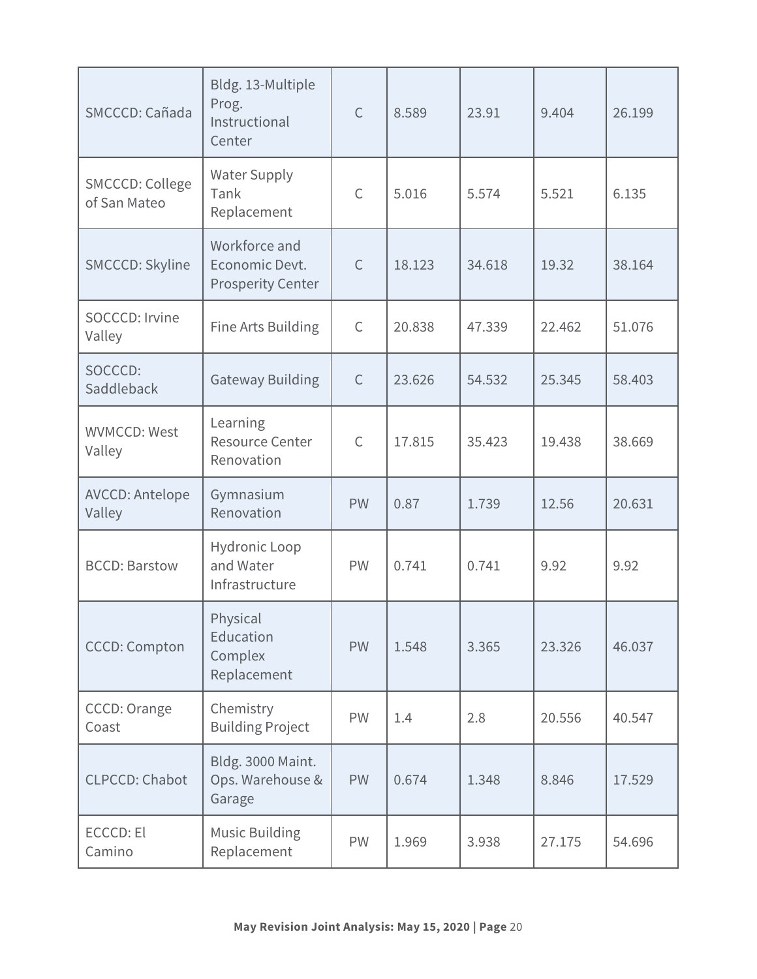| SMCCCD: Cañada                   | Bldg. 13-Multiple<br>Prog.<br>Instructional<br>Center       | $\mathsf{C}$ | 8.589  | 23.91  | 9.404  | 26.199 |
|----------------------------------|-------------------------------------------------------------|--------------|--------|--------|--------|--------|
| SMCCCD: College<br>of San Mateo  | <b>Water Supply</b><br>Tank<br>Replacement                  | $\mathsf{C}$ | 5.016  | 5.574  | 5.521  | 6.135  |
| SMCCCD: Skyline                  | Workforce and<br>Economic Devt.<br><b>Prosperity Center</b> | $\mathsf{C}$ | 18.123 | 34.618 | 19.32  | 38.164 |
| SOCCCD: Irvine<br>Valley         | Fine Arts Building                                          | $\mathsf{C}$ | 20.838 | 47.339 | 22.462 | 51.076 |
| SOCCCD:<br>Saddleback            | <b>Gateway Building</b>                                     | $\mathsf{C}$ | 23.626 | 54.532 | 25.345 | 58.403 |
| <b>WVMCCD: West</b><br>Valley    | Learning<br><b>Resource Center</b><br>Renovation            | $\mathsf{C}$ | 17.815 | 35.423 | 19.438 | 38.669 |
| <b>AVCCD: Antelope</b><br>Valley | Gymnasium<br>Renovation                                     | <b>PW</b>    | 0.87   | 1.739  | 12.56  | 20.631 |
| <b>BCCD: Barstow</b>             | <b>Hydronic Loop</b><br>and Water<br>Infrastructure         | PW           | 0.741  | 0.741  | 9.92   | 9.92   |
| <b>CCCD: Compton</b>             | Physical<br>Education<br>Complex<br>Replacement             | <b>PW</b>    | 1.548  | 3.365  | 23.326 | 46.037 |
| CCCD: Orange<br>Coast            | Chemistry<br><b>Building Project</b>                        | <b>PW</b>    | 1.4    | 2.8    | 20.556 | 40.547 |
| <b>CLPCCD: Chabot</b>            | Bldg. 3000 Maint.<br>Ops. Warehouse &<br>Garage             | <b>PW</b>    | 0.674  | 1.348  | 8.846  | 17.529 |
| ECCCD: El<br>Camino              | <b>Music Building</b><br>Replacement                        | PW           | 1.969  | 3.938  | 27.175 | 54.696 |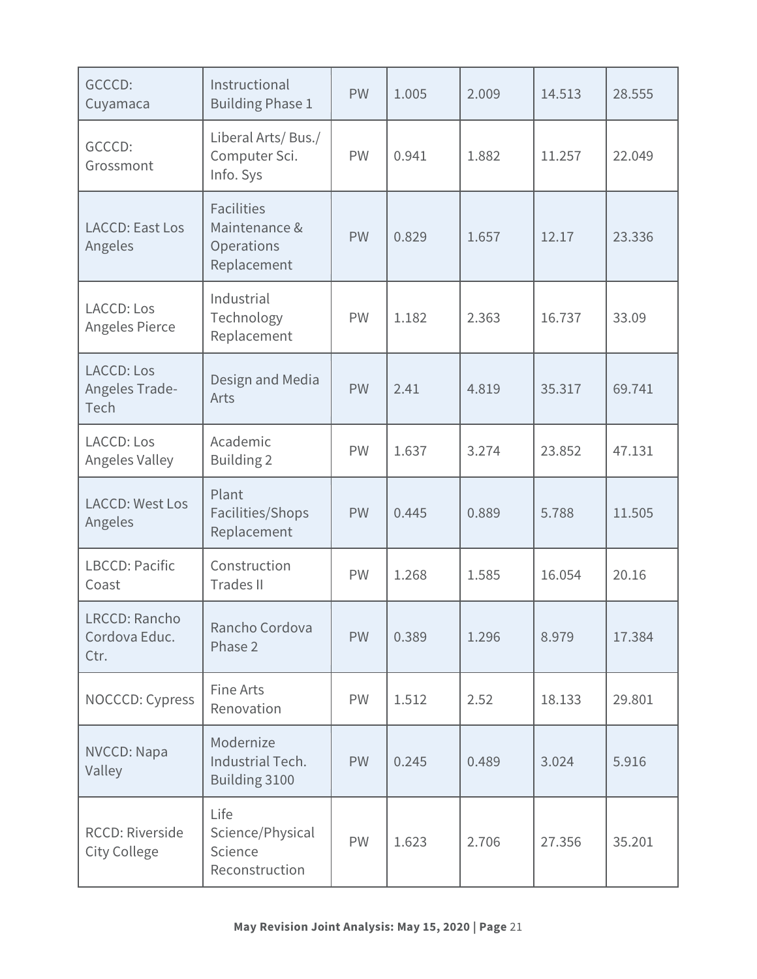| GCCCD:<br>Cuyamaca                            | Instructional<br><b>Building Phase 1</b>                        | <b>PW</b> | 1.005 | 2.009 | 14.513 | 28.555 |
|-----------------------------------------------|-----------------------------------------------------------------|-----------|-------|-------|--------|--------|
| GCCCD:<br>Grossmont                           | Liberal Arts/ Bus./<br>Computer Sci.<br>Info. Sys               | <b>PW</b> | 0.941 | 1.882 | 11.257 | 22.049 |
| <b>LACCD: East Los</b><br>Angeles             | <b>Facilities</b><br>Maintenance &<br>Operations<br>Replacement | <b>PW</b> | 0.829 | 1.657 | 12.17  | 23.336 |
| <b>LACCD: Los</b><br>Angeles Pierce           | Industrial<br>Technology<br>Replacement                         | <b>PW</b> | 1.182 | 2.363 | 16.737 | 33.09  |
| <b>LACCD: Los</b><br>Angeles Trade-<br>Tech   | Design and Media<br>Arts                                        | <b>PW</b> | 2.41  | 4.819 | 35.317 | 69.741 |
| <b>LACCD: Los</b><br>Angeles Valley           | Academic<br>Building 2                                          | <b>PW</b> | 1.637 | 3.274 | 23.852 | 47.131 |
| <b>LACCD: West Los</b><br>Angeles             | Plant<br>Facilities/Shops<br>Replacement                        | <b>PW</b> | 0.445 | 0.889 | 5.788  | 11.505 |
| LBCCD: Pacific<br>Coast                       | Construction<br><b>Trades II</b>                                | <b>PW</b> | 1.268 | 1.585 | 16.054 | 20.16  |
| LRCCD: Rancho<br>Cordova Educ.<br>Ctr.        | Rancho Cordova<br>Phase 2                                       | <b>PW</b> | 0.389 | 1.296 | 8.979  | 17.384 |
| NOCCCD: Cypress                               | <b>Fine Arts</b><br>Renovation                                  | PW        | 1.512 | 2.52  | 18.133 | 29.801 |
| <b>NVCCD: Napa</b><br>Valley                  | Modernize<br>Industrial Tech.<br>Building 3100                  | <b>PW</b> | 0.245 | 0.489 | 3.024  | 5.916  |
| <b>RCCD: Riverside</b><br><b>City College</b> | Life<br>Science/Physical<br>Science<br>Reconstruction           | <b>PW</b> | 1.623 | 2.706 | 27.356 | 35.201 |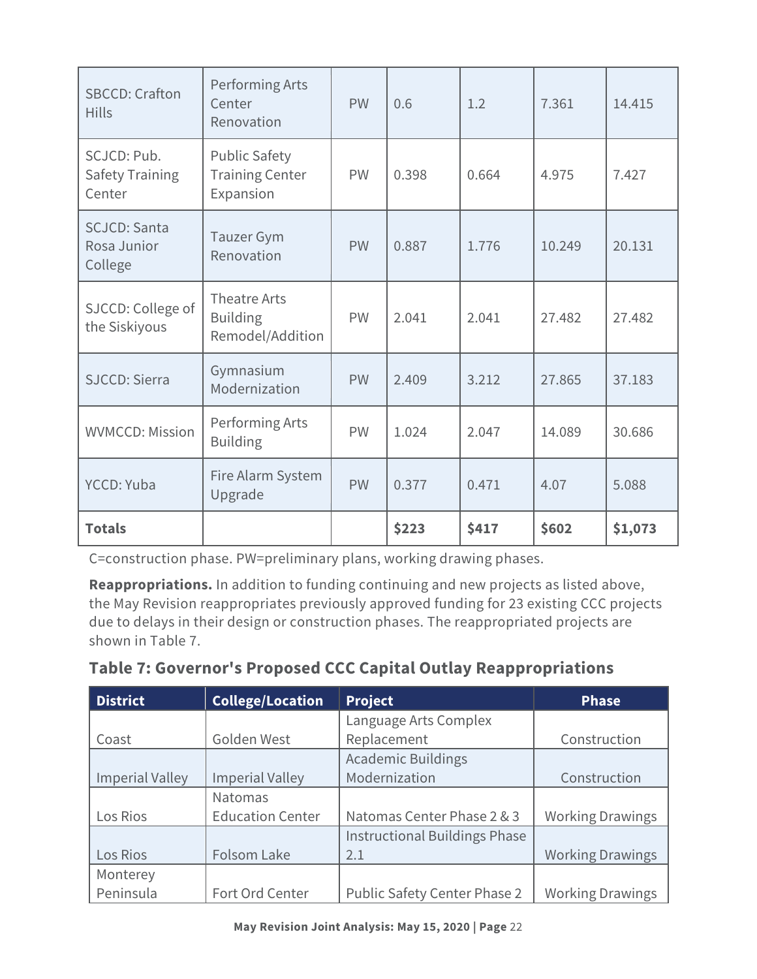| <b>SBCCD: Crafton</b><br><b>Hills</b>           | Performing Arts<br>Center<br>Renovation                     | <b>PW</b> | 0.6   | 1.2   | 7.361  | 14.415  |
|-------------------------------------------------|-------------------------------------------------------------|-----------|-------|-------|--------|---------|
| SCJCD: Pub.<br><b>Safety Training</b><br>Center | <b>Public Safety</b><br><b>Training Center</b><br>Expansion | <b>PW</b> | 0.398 | 0.664 | 4.975  | 7.427   |
| <b>SCJCD: Santa</b><br>Rosa Junior<br>College   | <b>Tauzer Gym</b><br>Renovation                             | <b>PW</b> | 0.887 | 1.776 | 10.249 | 20.131  |
| SJCCD: College of<br>the Siskiyous              | <b>Theatre Arts</b><br><b>Building</b><br>Remodel/Addition  | <b>PW</b> | 2.041 | 2.041 | 27.482 | 27.482  |
| <b>SJCCD: Sierra</b>                            | Gymnasium<br>Modernization                                  | <b>PW</b> | 2.409 | 3.212 | 27.865 | 37.183  |
| <b>WVMCCD: Mission</b>                          | Performing Arts<br><b>Building</b>                          | PW        | 1.024 | 2.047 | 14.089 | 30.686  |
| YCCD: Yuba                                      | Fire Alarm System<br>Upgrade                                | <b>PW</b> | 0.377 | 0.471 | 4.07   | 5.088   |
| <b>Totals</b>                                   |                                                             |           | \$223 | \$417 | \$602  | \$1,073 |

C=construction phase. PW=preliminary plans, working drawing phases.

**Reappropriations.** In addition to funding continuing and new projects as listed above, the May Revision reappropriates previously approved funding for 23 existing CCC projects due to delays in their design or construction phases. The reappropriated projects are shown in Table 7.

### **Table 7: Governor's Proposed CCC Capital Outlay Reappropriations**

| <b>District</b>        | <b>College/Location</b> | <b>Project</b>                       | <b>Phase</b>            |
|------------------------|-------------------------|--------------------------------------|-------------------------|
|                        |                         | Language Arts Complex                |                         |
| Coast                  | Golden West             | Replacement                          | Construction            |
|                        |                         | <b>Academic Buildings</b>            |                         |
| <b>Imperial Valley</b> | <b>Imperial Valley</b>  | Modernization                        | Construction            |
|                        | Natomas                 |                                      |                         |
| Los Rios               | <b>Education Center</b> | Natomas Center Phase 2 & 3           | <b>Working Drawings</b> |
|                        |                         | <b>Instructional Buildings Phase</b> |                         |
| Los Rios               | Folsom Lake             | 2.1                                  | <b>Working Drawings</b> |
| Monterey               |                         |                                      |                         |
| Peninsula              | Fort Ord Center         | Public Safety Center Phase 2         | <b>Working Drawings</b> |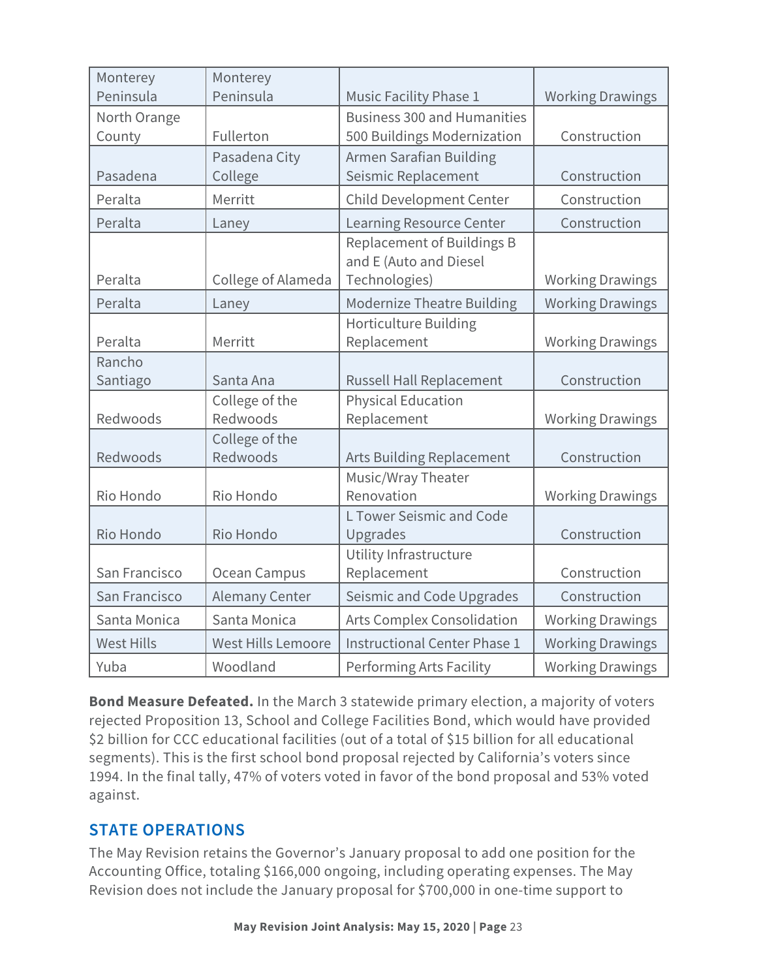| Monterey          | Monterey                   |                                                             |                         |
|-------------------|----------------------------|-------------------------------------------------------------|-------------------------|
| Peninsula         | Peninsula                  | <b>Music Facility Phase 1</b>                               | <b>Working Drawings</b> |
| North Orange      |                            | <b>Business 300 and Humanities</b>                          |                         |
| County            | Fullerton                  | 500 Buildings Modernization                                 | Construction            |
|                   | Pasadena City              | Armen Sarafian Building                                     |                         |
| Pasadena          | College                    | Seismic Replacement                                         | Construction            |
| Peralta           | Merritt                    | Child Development Center                                    | Construction            |
| Peralta           | Laney                      | <b>Learning Resource Center</b>                             | Construction            |
|                   |                            | <b>Replacement of Buildings B</b><br>and E (Auto and Diesel |                         |
| Peralta           | College of Alameda         | Technologies)                                               | <b>Working Drawings</b> |
| Peralta           | Laney                      | <b>Modernize Theatre Building</b>                           | <b>Working Drawings</b> |
|                   |                            | <b>Horticulture Building</b>                                |                         |
| Peralta           | Merritt                    | Replacement                                                 | <b>Working Drawings</b> |
| Rancho            |                            |                                                             |                         |
| Santiago          | Santa Ana                  | <b>Russell Hall Replacement</b>                             | Construction            |
|                   | College of the             | <b>Physical Education</b>                                   |                         |
| Redwoods          | Redwoods                   | Replacement                                                 | <b>Working Drawings</b> |
| Redwoods          | College of the<br>Redwoods | Arts Building Replacement                                   | Construction            |
|                   |                            | Music/Wray Theater                                          |                         |
| Rio Hondo         | Rio Hondo                  | Renovation                                                  | <b>Working Drawings</b> |
|                   |                            | L Tower Seismic and Code                                    |                         |
| Rio Hondo         | Rio Hondo                  | Upgrades                                                    | Construction            |
|                   |                            | Utility Infrastructure                                      |                         |
| San Francisco     | Ocean Campus               | Replacement                                                 | Construction            |
| San Francisco     | <b>Alemany Center</b>      | Seismic and Code Upgrades                                   | Construction            |
| Santa Monica      | Santa Monica               | <b>Arts Complex Consolidation</b>                           | <b>Working Drawings</b> |
| <b>West Hills</b> | <b>West Hills Lemoore</b>  | <b>Instructional Center Phase 1</b>                         | <b>Working Drawings</b> |
| Yuba              | Woodland                   | <b>Performing Arts Facility</b>                             | <b>Working Drawings</b> |

**Bond Measure Defeated.** In the March 3 statewide primary election, a majority of voters rejected Proposition 13, School and College Facilities Bond, which would have provided \$2 billion for CCC educational facilities (out of a total of \$15 billion for all educational segments). This is the first school bond proposal rejected by California's voters since 1994. In the final tally, 47% of voters voted in favor of the bond proposal and 53% voted against.

#### **STATE OPERATIONS**

The May Revision retains the Governor's January proposal to add one position for the Accounting Office, totaling \$166,000 ongoing, including operating expenses. The May Revision does not include the January proposal for \$700,000 in one-time support to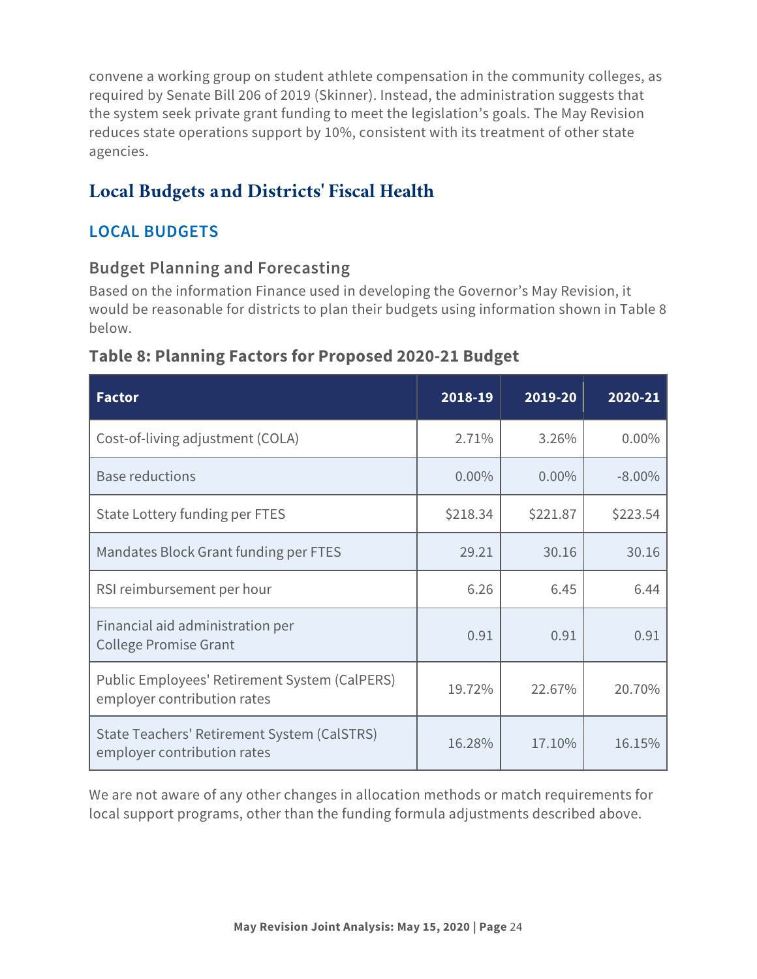convene a working group on student athlete compensation in the community colleges, as required by Senate Bill 206 of 2019 (Skinner). Instead, the administration suggests that the system seek private grant funding to meet the legislation's goals. The May Revision reduces state operations support by 10%, consistent with its treatment of other state agencies.

### **Local Budgets and Districts Fiscal Health**

### **LOCAL BUDGETS**

#### **Budget Planning and Forecasting**

Based on the information Finance used in developing the Governor's May Revision, it would be reasonable for districts to plan their budgets using information shown in Table 8 below.

#### **Table 8: Planning Factors for Proposed 2020-21 Budget**

| <b>Factor</b>                                                                | 2018-19  | 2019-20  | 2020-21   |
|------------------------------------------------------------------------------|----------|----------|-----------|
| Cost-of-living adjustment (COLA)                                             | 2.71%    | 3.26%    | $0.00\%$  |
| <b>Base reductions</b>                                                       | $0.00\%$ | $0.00\%$ | $-8.00\%$ |
| State Lottery funding per FTES                                               | \$218.34 | \$221.87 | \$223.54  |
| Mandates Block Grant funding per FTES                                        | 29.21    | 30.16    | 30.16     |
| RSI reimbursement per hour                                                   | 6.26     | 6.45     | 6.44      |
| Financial aid administration per<br><b>College Promise Grant</b>             | 0.91     | 0.91     | 0.91      |
| Public Employees' Retirement System (CalPERS)<br>employer contribution rates | 19.72%   | 22.67%   | 20.70%    |
| State Teachers' Retirement System (CalSTRS)<br>employer contribution rates   | 16.28%   | 17.10%   | 16.15%    |

We are not aware of any other changes in allocation methods or match requirements for local support programs, other than the funding formula adjustments described above.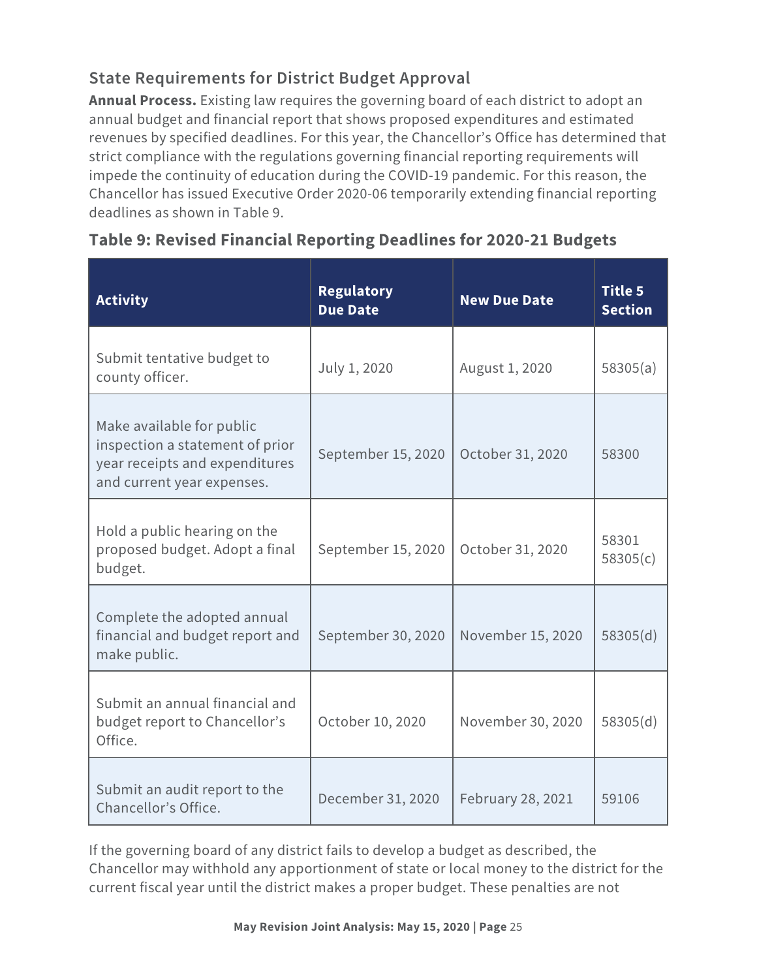### **State Requirements for District Budget Approval**

**Annual Process.** Existing law requires the governing board of each district to adopt an annual budget and financial report that shows proposed expenditures and estimated revenues by specified deadlines. For this year, the Chancellor's Office has determined that strict compliance with the regulations governing financial reporting requirements will impede the continuity of education during the COVID-19 pandemic. For this reason, the Chancellor has issued Executive Order 2020-06 temporarily extending financial reporting deadlines as shown in Table 9.

| <b>Activity</b>                                                                                                              | <b>Regulatory</b><br><b>Due Date</b> | <b>New Due Date</b> | <b>Title 5</b><br><b>Section</b> |
|------------------------------------------------------------------------------------------------------------------------------|--------------------------------------|---------------------|----------------------------------|
| Submit tentative budget to<br>county officer.                                                                                | July 1, 2020                         | August 1, 2020      | 58305(a)                         |
| Make available for public<br>inspection a statement of prior<br>year receipts and expenditures<br>and current year expenses. | September 15, 2020                   | October 31, 2020    | 58300                            |
| Hold a public hearing on the<br>proposed budget. Adopt a final<br>budget.                                                    | September 15, 2020                   | October 31, 2020    | 58301<br>58305(c)                |
| Complete the adopted annual<br>financial and budget report and<br>make public.                                               | September 30, 2020                   | November 15, 2020   | 58305(d)                         |
| Submit an annual financial and<br>budget report to Chancellor's<br>Office.                                                   | October 10, 2020                     | November 30, 2020   | 58305(d)                         |
| Submit an audit report to the<br>Chancellor's Office.                                                                        | December 31, 2020                    | February 28, 2021   | 59106                            |

#### **Table 9: Revised Financial Reporting Deadlines for 2020-21 Budgets**

If the governing board of any district fails to develop a budget as described, the Chancellor may withhold any apportionment of state or local money to the district for the current fiscal year until the district makes a proper budget. These penalties are not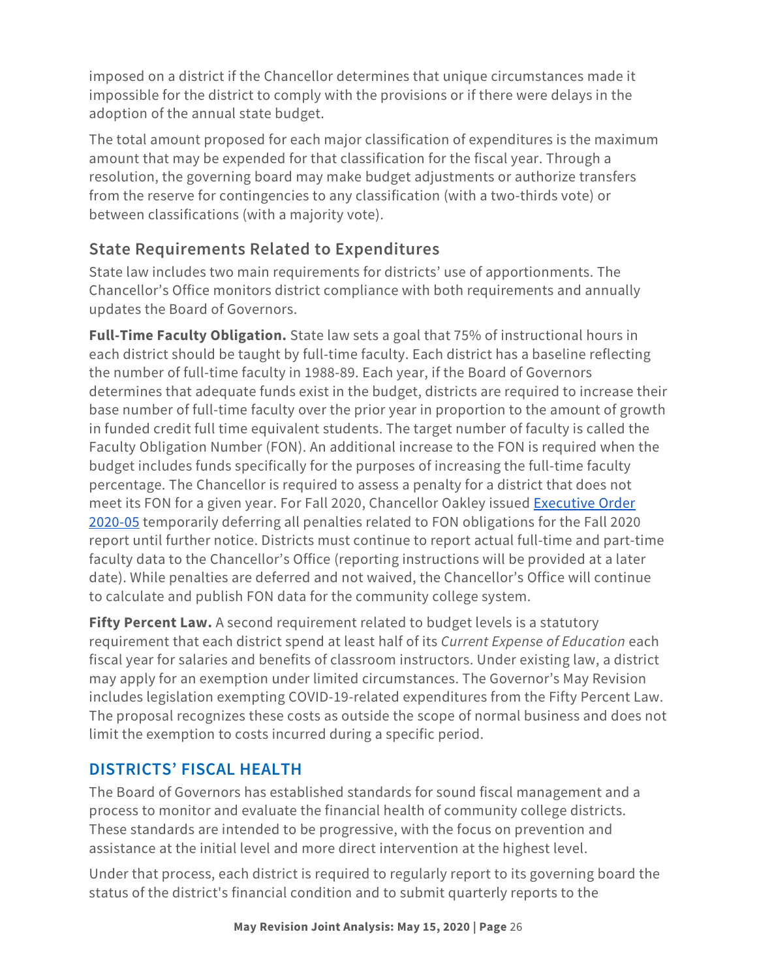imposed on a district if the Chancellor determines that unique circumstances made it impossible for the district to comply with the provisions or if there were delays in the adoption of the annual state budget.

The total amount proposed for each major classification of expenditures is the maximum amount that may be expended for that classification for the fiscal year. Through a resolution, the governing board may make budget adjustments or authorize transfers from the reserve for contingencies to any classification (with a two-thirds vote) or between classifications (with a majority vote).

### **State Requirements Related to Expenditures**

State law includes two main requirements for districts' use of apportionments. The Chancellor's Office monitors district compliance with both requirements and annually updates the Board of Governors.

**Full-Time Faculty Obligation.** State law sets a goal that 75% of instructional hours in each district should be taught by full-time faculty. Each district has a baseline reflecting the number of full-time faculty in 1988-89. Each year, if the Board of Governors determines that adequate funds exist in the budget, districts are required to increase their base number of full-time faculty over the prior year in proportion to the amount of growth in funded credit full time equivalent students. The target number of faculty is called the Faculty Obligation Number (FON). An additional increase to the FON is required when the budget includes funds specifically for the purposes of increasing the full-time faculty percentage. The Chancellor is required to assess a penalty for a district that does not meet its FON for a given year. For Fall 2020, Chancellor Oakley issued [Executive Order](https://www.cccco.edu/-/media/CCCCO-Website/Files/Communications/COVID-19/2020-05-executive-rrder-re-deferral-of-fon-penalties.pdf?la=en&hash=1481606D95F8C767CD3DD270B8F982BCF96F313B)  [2020-05](https://www.cccco.edu/-/media/CCCCO-Website/Files/Communications/COVID-19/2020-05-executive-rrder-re-deferral-of-fon-penalties.pdf?la=en&hash=1481606D95F8C767CD3DD270B8F982BCF96F313B) temporarily deferring all penalties related to FON obligations for the Fall 2020 report until further notice. Districts must continue to report actual full-time and part-time faculty data to the Chancellor's Office (reporting instructions will be provided at a later date). While penalties are deferred and not waived, the Chancellor's Office will continue to calculate and publish FON data for the community college system.

**Fifty Percent Law.** A second requirement related to budget levels is a statutory requirement that each district spend at least half of its *Current Expense of Education* each fiscal year for salaries and benefits of classroom instructors. Under existing law, a district may apply for an exemption under limited circumstances. The Governor's May Revision includes legislation exempting COVID-19-related expenditures from the Fifty Percent Law. The proposal recognizes these costs as outside the scope of normal business and does not limit the exemption to costs incurred during a specific period.

### **DISTRICTS' FISCAL HEALTH**

The Board of Governors has established standards for sound fiscal management and a process to monitor and evaluate the financial health of community college districts. These standards are intended to be progressive, with the focus on prevention and assistance at the initial level and more direct intervention at the highest level.

Under that process, each district is required to regularly report to its governing board the status of the district's financial condition and to submit quarterly reports to the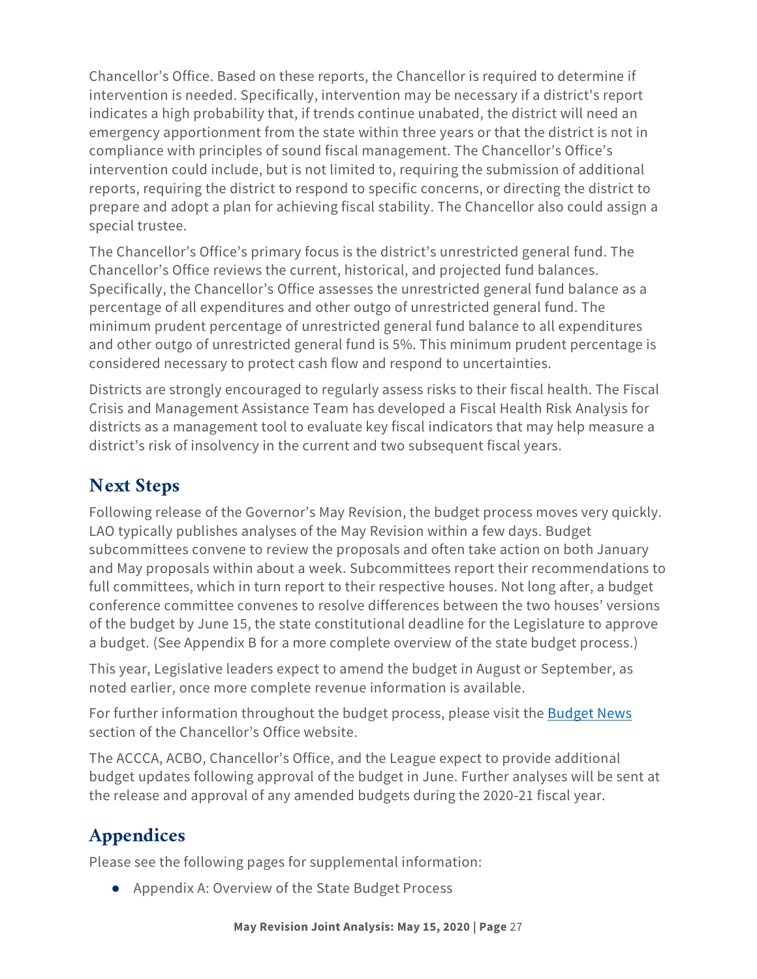Chancellor's Office. Based on these reports, the Chancellor is required to determine if intervention is needed. Specifically, intervention may be necessary if a district's report indicates a high probability that, if trends continue unabated, the district will need an emergency apportionment from the state within three years or that the district is not in compliance with principles of sound fiscal management. The Chancellor's Office's intervention could include, but is not limited to, requiring the submission of additional reports, requiring the district to respond to specific concerns, or directing the district to prepare and adopt a plan for achieving fiscal stability. The Chancellor also could assign a special trustee.

The Chancellor's Office's primary focus is the district's unrestricted general fund. The Chancellor's Office reviews the current, historical, and projected fund balances. Specifically, the Chancellor's Office assesses the unrestricted general fund balance as a percentage of all expenditures and other outgo of unrestricted general fund. The minimum prudent percentage of unrestricted general fund balance to all expenditures and other outgo of unrestricted general fund is 5%. This minimum prudent percentage is considered necessary to protect cash flow and respond to uncertainties.

Districts are strongly encouraged to regularly assess risks to their fiscal health. The Fiscal Crisis and Management Assistance Team has developed a Fiscal Health Risk Analysis for districts as a management tool to evaluate key fiscal indicators that may help measure a district's risk of insolvency in the current and two subsequent fiscal years.

### **Next Steps**

Following release of the Governor's May Revision, the budget process moves very quickly. LAO typically publishes analyses of the May Revision within a few days. Budget subcommittees convene to review the proposals and often take action on both January and May proposals within about a week. Subcommittees report their recommendations to full committees, which in turn report to their respective houses. Not long after, a budget conference committee convenes to resolve differences between the two houses' versions of the budget by June 15, the state constitutional deadline for the Legislature to approve a budget. (See Appendix B for a more complete overview of the state budget process.)

This year, Legislative leaders expect to amend the budget in August or September, as noted earlier, once more complete revenue information is available.

For further information throughout the budget process, please visit the **Budget News** section of the Chancellor's Office website.

The ACCCA, ACBO, Chancellor's Office, and the League expect to provide additional budget updates following approval of the budget in June. Further analyses will be sent at the release and approval of any amended budgets during the 2020-21 fiscal year.

### **Appendices**

Please see the following pages for supplemental information:

● Appendix A: Overview of the State Budget Process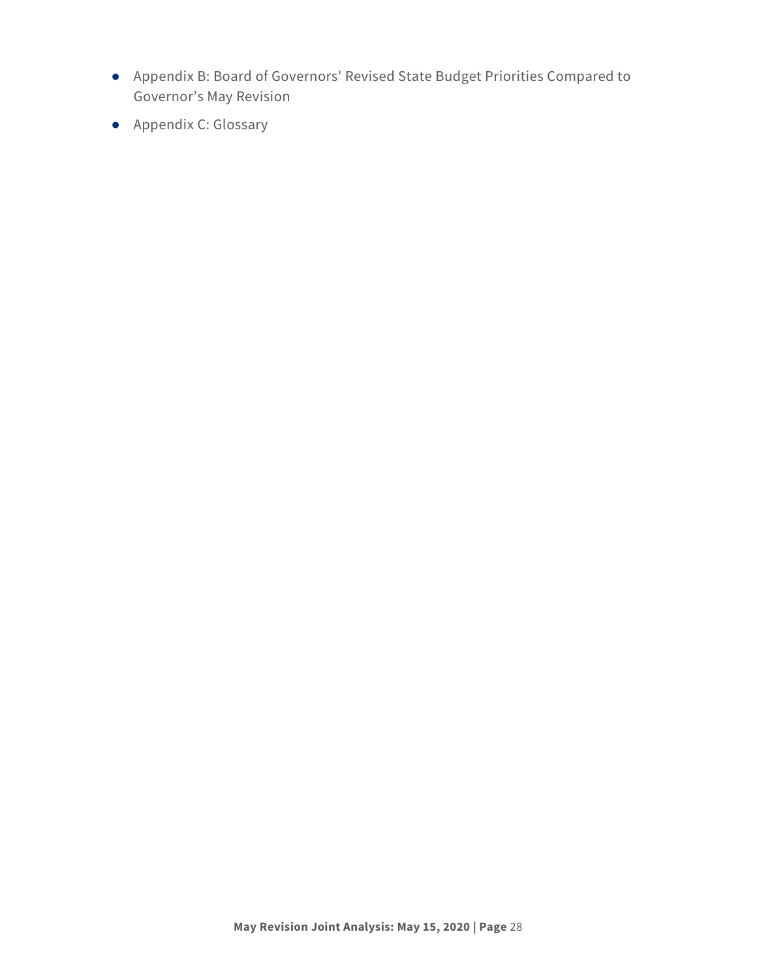- Appendix B: Board of Governors' Revised State Budget Priorities Compared to Governor's May Revision
- Appendix C: Glossary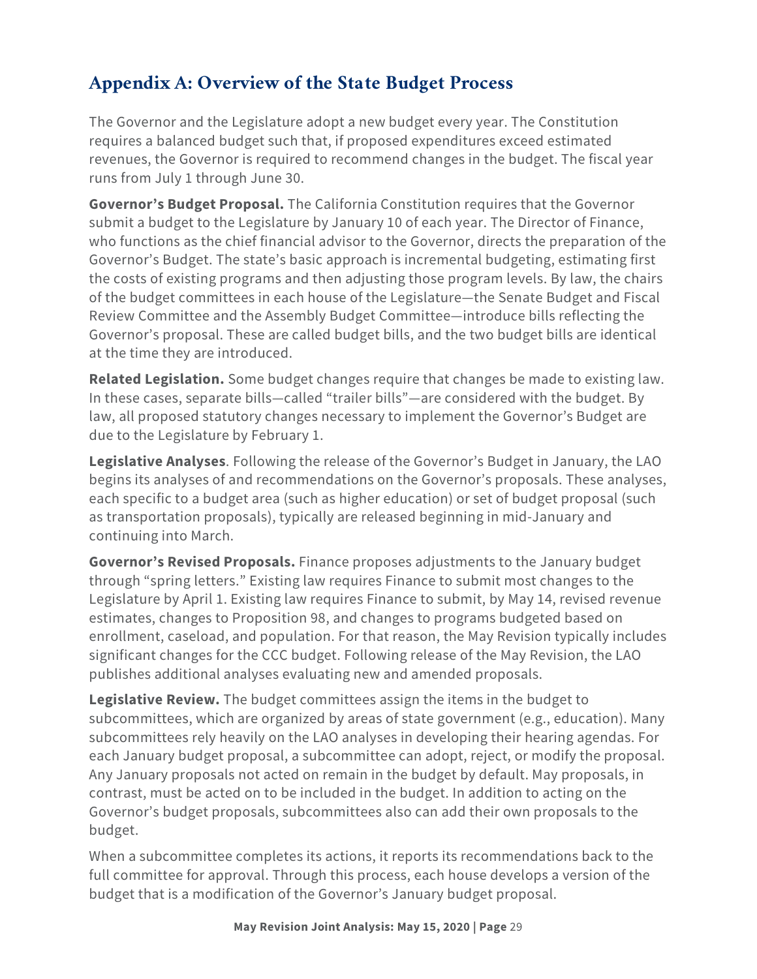### **Appendix A: Overview of the State Budget Process**

The Governor and the Legislature adopt a new budget every year. The Constitution requires a balanced budget such that, if proposed expenditures exceed estimated revenues, the Governor is required to recommend changes in the budget. The fiscal year runs from July 1 through June 30.

**Governor's Budget Proposal.** The California Constitution requires that the Governor submit a budget to the Legislature by January 10 of each year. The Director of Finance, who functions as the chief financial advisor to the Governor, directs the preparation of the Governor's Budget. The state's basic approach is incremental budgeting, estimating first the costs of existing programs and then adjusting those program levels. By law, the chairs of the budget committees in each house of the Legislature—the Senate Budget and Fiscal Review Committee and the Assembly Budget Committee—introduce bills reflecting the Governor's proposal. These are called budget bills, and the two budget bills are identical at the time they are introduced.

**Related Legislation.** Some budget changes require that changes be made to existing law. In these cases, separate bills—called "trailer bills"—are considered with the budget. By law, all proposed statutory changes necessary to implement the Governor's Budget are due to the Legislature by February 1.

**Legislative Analyses**. Following the release of the Governor's Budget in January, the LAO begins its analyses of and recommendations on the Governor's proposals. These analyses, each specific to a budget area (such as higher education) or set of budget proposal (such as transportation proposals), typically are released beginning in mid-January and continuing into March.

**Governor's Revised Proposals.** Finance proposes adjustments to the January budget through "spring letters." Existing law requires Finance to submit most changes to the Legislature by April 1. Existing law requires Finance to submit, by May 14, revised revenue estimates, changes to Proposition 98, and changes to programs budgeted based on enrollment, caseload, and population. For that reason, the May Revision typically includes significant changes for the CCC budget. Following release of the May Revision, the LAO publishes additional analyses evaluating new and amended proposals.

**Legislative Review.** The budget committees assign the items in the budget to subcommittees, which are organized by areas of state government (e.g., education). Many subcommittees rely heavily on the LAO analyses in developing their hearing agendas. For each January budget proposal, a subcommittee can adopt, reject, or modify the proposal. Any January proposals not acted on remain in the budget by default. May proposals, in contrast, must be acted on to be included in the budget. In addition to acting on the Governor's budget proposals, subcommittees also can add their own proposals to the budget.

When a subcommittee completes its actions, it reports its recommendations back to the full committee for approval. Through this process, each house develops a version of the budget that is a modification of the Governor's January budget proposal.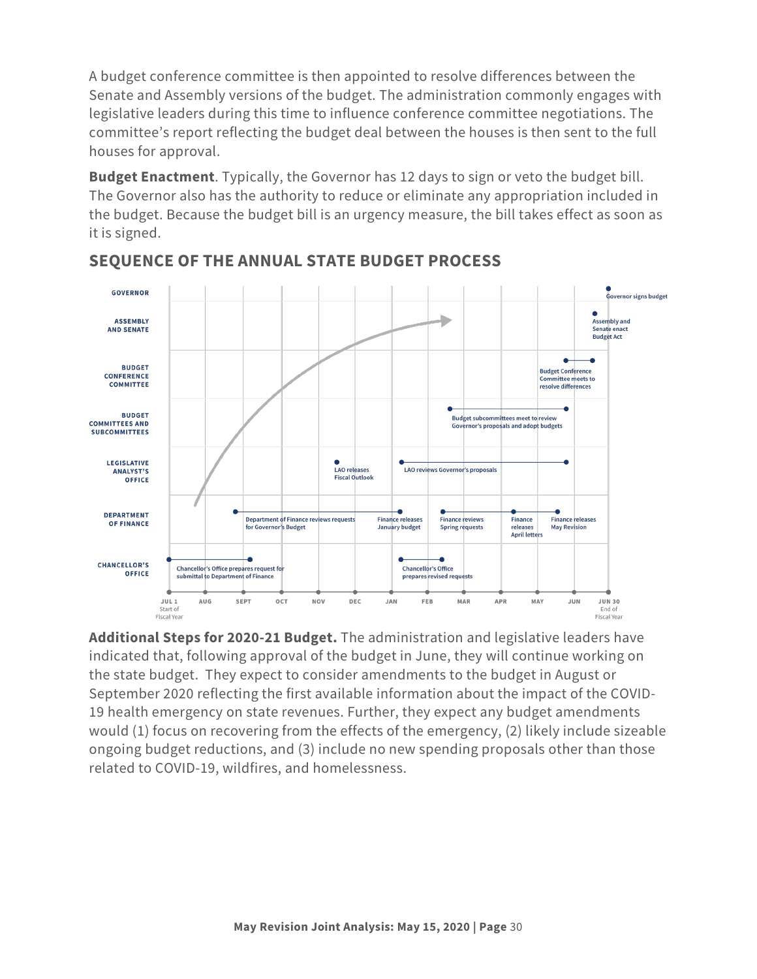A budget conference committee is then appointed to resolve differences between the Senate and Assembly versions of the budget. The administration commonly engages with legislative leaders during this time to influence conference committee negotiations. The committee's report reflecting the budget deal between the houses is then sent to the full houses for approval.

**Budget Enactment**. Typically, the Governor has 12 days to sign or veto the budget bill. The Governor also has the authority to reduce or eliminate any appropriation included in the budget. Because the budget bill is an urgency measure, the bill takes effect as soon as it is signed.



#### **SEQUENCE OF THE ANNUAL STATE BUDGET PROCESS**

**Additional Steps for 2020-21 Budget.** The administration and legislative leaders have indicated that, following approval of the budget in June, they will continue working on the state budget. They expect to consider amendments to the budget in August or September 2020 reflecting the first available information about the impact of the COVID-19 health emergency on state revenues. Further, they expect any budget amendments would (1) focus on recovering from the effects of the emergency, (2) likely include sizeable ongoing budget reductions, and (3) include no new spending proposals other than those related to COVID-19, wildfires, and homelessness.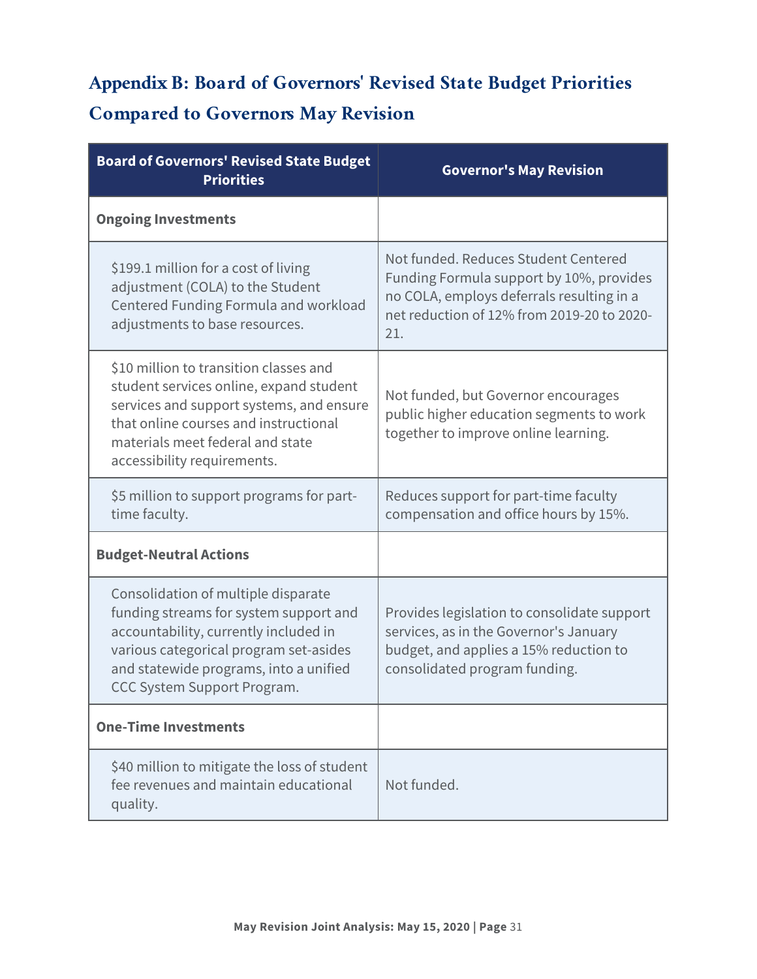## **Appendix B: Board of Governors Revised State Budget Priorities Compared to Governors May Revision**

| <b>Board of Governors' Revised State Budget</b><br><b>Priorities</b>                                                                                                                                                                      | <b>Governor's May Revision</b>                                                                                                                                                     |
|-------------------------------------------------------------------------------------------------------------------------------------------------------------------------------------------------------------------------------------------|------------------------------------------------------------------------------------------------------------------------------------------------------------------------------------|
| <b>Ongoing Investments</b>                                                                                                                                                                                                                |                                                                                                                                                                                    |
| \$199.1 million for a cost of living<br>adjustment (COLA) to the Student<br>Centered Funding Formula and workload<br>adjustments to base resources.                                                                                       | Not funded. Reduces Student Centered<br>Funding Formula support by 10%, provides<br>no COLA, employs deferrals resulting in a<br>net reduction of 12% from 2019-20 to 2020-<br>21. |
| \$10 million to transition classes and<br>student services online, expand student<br>services and support systems, and ensure<br>that online courses and instructional<br>materials meet federal and state<br>accessibility requirements. | Not funded, but Governor encourages<br>public higher education segments to work<br>together to improve online learning.                                                            |
| \$5 million to support programs for part-<br>time faculty.                                                                                                                                                                                | Reduces support for part-time faculty<br>compensation and office hours by 15%.                                                                                                     |
| <b>Budget-Neutral Actions</b>                                                                                                                                                                                                             |                                                                                                                                                                                    |
| Consolidation of multiple disparate<br>funding streams for system support and<br>accountability, currently included in<br>various categorical program set-asides<br>and statewide programs, into a unified<br>CCC System Support Program. | Provides legislation to consolidate support<br>services, as in the Governor's January<br>budget, and applies a 15% reduction to<br>consolidated program funding.                   |
| <b>One-Time Investments</b>                                                                                                                                                                                                               |                                                                                                                                                                                    |
| \$40 million to mitigate the loss of student<br>fee revenues and maintain educational<br>quality.                                                                                                                                         | Not funded.                                                                                                                                                                        |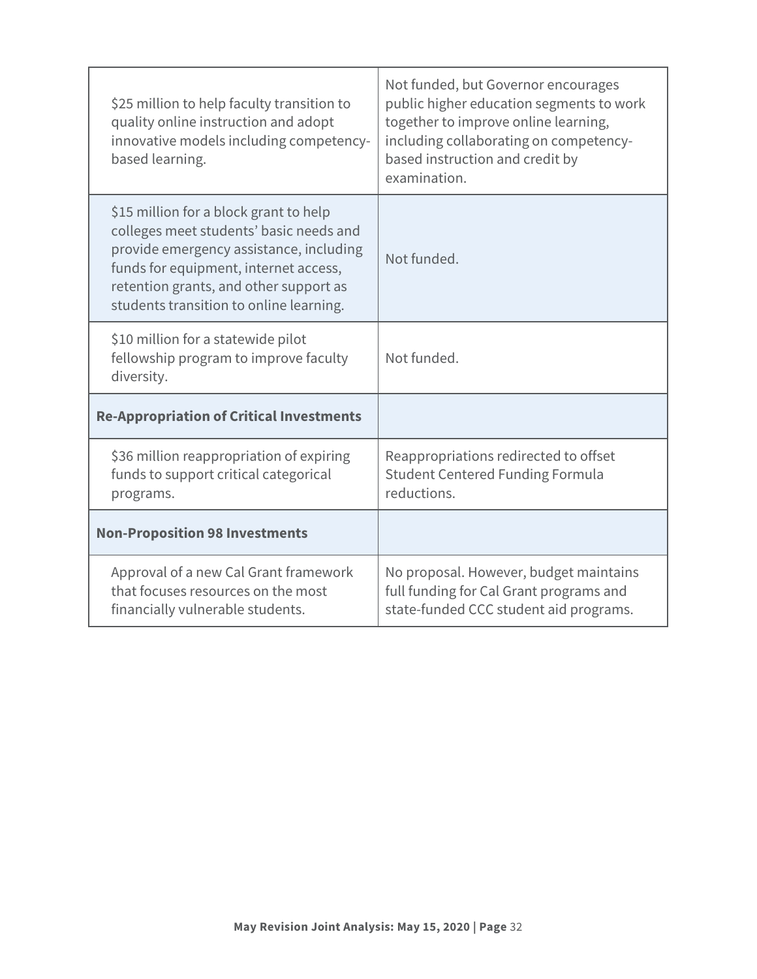| \$25 million to help faculty transition to<br>quality online instruction and adopt<br>innovative models including competency-<br>based learning.                                                                                                           | Not funded, but Governor encourages<br>public higher education segments to work<br>together to improve online learning,<br>including collaborating on competency-<br>based instruction and credit by<br>examination. |
|------------------------------------------------------------------------------------------------------------------------------------------------------------------------------------------------------------------------------------------------------------|----------------------------------------------------------------------------------------------------------------------------------------------------------------------------------------------------------------------|
| \$15 million for a block grant to help<br>colleges meet students' basic needs and<br>provide emergency assistance, including<br>funds for equipment, internet access,<br>retention grants, and other support as<br>students transition to online learning. | Not funded.                                                                                                                                                                                                          |
| \$10 million for a statewide pilot<br>fellowship program to improve faculty<br>diversity.                                                                                                                                                                  | Not funded.                                                                                                                                                                                                          |
| <b>Re-Appropriation of Critical Investments</b>                                                                                                                                                                                                            |                                                                                                                                                                                                                      |
| \$36 million reappropriation of expiring<br>funds to support critical categorical<br>programs.                                                                                                                                                             | Reappropriations redirected to offset<br><b>Student Centered Funding Formula</b><br>reductions.                                                                                                                      |
| <b>Non-Proposition 98 Investments</b>                                                                                                                                                                                                                      |                                                                                                                                                                                                                      |
| Approval of a new Cal Grant framework<br>that focuses resources on the most<br>financially vulnerable students.                                                                                                                                            | No proposal. However, budget maintains<br>full funding for Cal Grant programs and<br>state-funded CCC student aid programs.                                                                                          |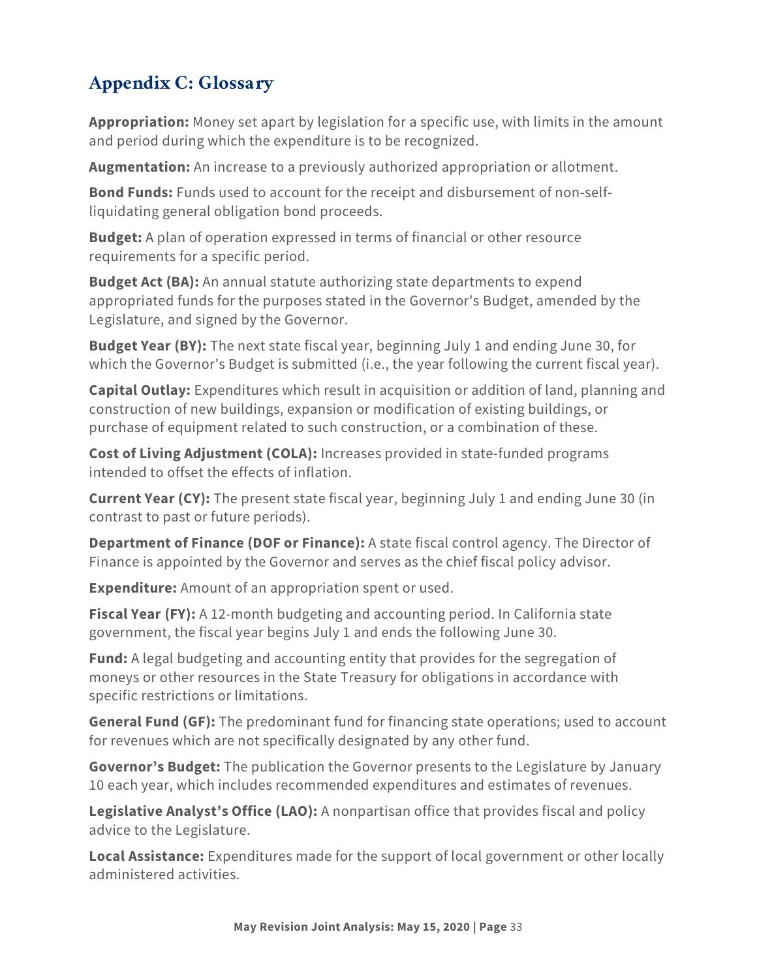### **Appendix C: Glossary**

**Appropriation:** Money set apart by legislation for a specific use, with limits in the amount and period during which the expenditure is to be recognized.

**Augmentation:** An increase to a previously authorized appropriation or allotment.

**Bond Funds:** Funds used to account for the receipt and disbursement of non-selfliquidating general obligation bond proceeds.

**Budget:** A plan of operation expressed in terms of financial or other resource requirements for a specific period.

**Budget Act (BA):** An annual statute authorizing state departments to expend appropriated funds for the purposes stated in the Governor's Budget, amended by the Legislature, and signed by the Governor.

**Budget Year (BY):** The next state fiscal year, beginning July 1 and ending June 30, for which the Governor's Budget is submitted (i.e., the year following the current fiscal year).

**Capital Outlay:** Expenditures which result in acquisition or addition of land, planning and construction of new buildings, expansion or modification of existing buildings, or purchase of equipment related to such construction, or a combination of these.

**Cost of Living Adjustment (COLA):** Increases provided in state-funded programs intended to offset the effects of inflation.

**Current Year (CY):** The present state fiscal year, beginning July 1 and ending June 30 (in contrast to past or future periods).

**Department of Finance (DOF or Finance):** A state fiscal control agency. The Director of Finance is appointed by the Governor and serves as the chief fiscal policy advisor.

**Expenditure:** Amount of an appropriation spent or used.

**Fiscal Year (FY):** A 12-month budgeting and accounting period. In California state government, the fiscal year begins July 1 and ends the following June 30.

**Fund:** A legal budgeting and accounting entity that provides for the segregation of moneys or other resources in the State Treasury for obligations in accordance with specific restrictions or limitations.

**General Fund (GF):** The predominant fund for financing state operations; used to account for revenues which are not specifically designated by any other fund.

**Governor's Budget:** The publication the Governor presents to the Legislature by January 10 each year, which includes recommended expenditures and estimates of revenues.

**Legislative Analyst's Office (LAO):** A nonpartisan office that provides fiscal and policy advice to the Legislature.

**Local Assistance:** Expenditures made for the support of local government or other locally administered activities.